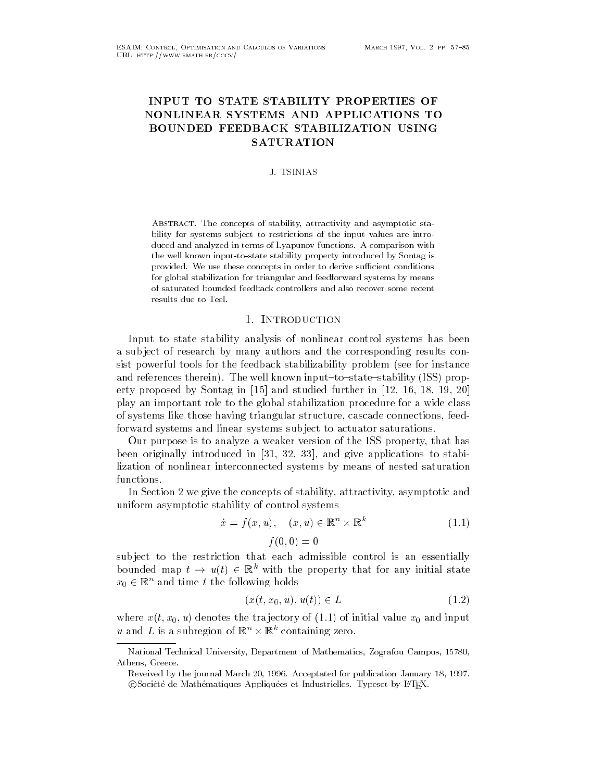# INPUT TO STATE STABILITY PROPERTIES OF **BOUNDED FEEDBACK STABILIZATION USING SATURATION**

#### J. TSINIAS

ABSTRACT. The concepts of stability, attractivity and asymptotic stability for systems subject to restrictions of the input values are introduced in terms of Lyapunov functions-with  $\mathcal{A}$ the well known input-to-state stability property introduced by Sontag is provided-to-de-iversity in order to derive such a successive successive such a successive successive such a su for global stabilization for triangular and feedforward systems by means of saturated bounded feedback controllers and also recover some recent results due to Teel-

#### 1. INTRODUCTION -

Input to state stability analysis of nonlinear control systems has been a sub ject of research by many authors and the corresponding results consist powerful tools for the feedback stabilizability problem (see for instance and references therein). The well known input-to-state-stability (ISS) property proposed by Sontage in the studies of the studies of the studies of the studies of the studies of the studies of the studies of the studies of the studies of the studies of the studies of the studies of the studies of play an important role to the global stabilization procedure for a wide class of systems like those having triangular structure cascade connections feedforward systems and linear systems sub ject to actuator saturations

Our purpose is to analyze a weaker version of the ISS property that has  $\mathbf{a}$  is a control in the stabi-stabi-stabi-stabi-stabi-stabi-stabi-stabi-stabi-stabi-stabi-stabi-stabi-stabi-stabi-stabi-stabi-stabi-stabi-stabi-stabi-stabi-stabi-stabi-stabi-stabi-stabi-stabi-stabi-stabi-stabi-stabilization of nonlinear interconnected systems by means of nested saturation functions

In Section 2 we give the concepts of stability, attractivity, asymptotic and uniform asymptotic stability of control systems

$$
\dot{x} = f(x, u), \quad (x, u) \in \mathbb{R}^n \times \mathbb{R}^k
$$
\n
$$
f(0, 0) = 0
$$
\n
$$
(1.1)
$$

sub ject to the restriction that each admissible control is an essentially bounded map  $t \to u(t) \in \mathbb{R}^k$  with the property that for any initial state  $x_0 \in \mathbb{R}^n$  and time t the following holds

$$
(x(t, x_0, u), u(t)) \in L \tag{1.2}
$$

where  $x \mapsto y$  denotes the transfer initial value  $y$  of initial value  $y$  of initial value  $y$  $u$  and  $L$  is a subregion of  $\mathbb{R}^n \times \mathbb{R}^n$  containing zero.

National Technical University Department of Mathematics Zografou Campus Athens, Greece.

Reveived by the journal March 
- Acceptated for publication January -Coociete de Mathematiques Appliquees et Industrielles. Typeset by E-IFA-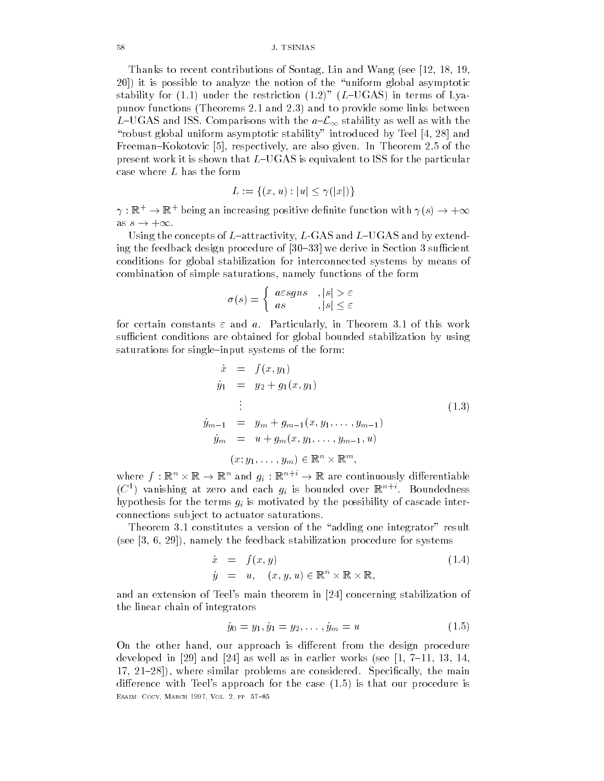Thanks to recent contributions of Sontag, Lin and Wang (see [12, 18, 19, it is possible to analyze the notion of the uniform global asymptotic stability for  $(1.1)$  under the restriction  $(1.2)$ "  $(L$ -UGAS) in terms of Lyapunov functions (Theorems 2.1 and 2.3) and to provide some links between L–UGAS and ISS. Comparisons with the  $a\text{-}\mathcal{L}_\infty$  stability as well as with the robust global uniform asymptotic stability in the symptotic stability introduced by Teel and Teel and Teel and  $\mathbf{F} = \mathbf{F} \mathbf{F} \mathbf{F}$  and  $\mathbf{F} = \mathbf{F} \mathbf{F} \mathbf{F} \mathbf{F}$  are also given In Theorem  $\mathbf{F} \mathbf{F} \mathbf{F}$ present work it is shown that  $L$ -UGAS is equivalent to ISS for the particular case where L has the form

$$
L := \{(x, u) : |u| \le \gamma(|x|)\}
$$

 $\gamma: \mathbb{R}^+ \to \mathbb{R}^+$  being an increasing positive definite function with  $\gamma(s) \to +\infty$ as  $s \to +\infty$ .

Using the concepts of Lattractivity L-GAS and LUGAS and by extending the feedback design procedure of  $\mathbf{f}$  and  $\mathbf{f}$  and  $\mathbf{f}$  are design procedure in Section 2.1 and  $\mathbf{f}$ conditions for global stabilization for interconnected systems by means of combination of simple saturations namely functions of the form

$$
\sigma(s) = \begin{cases} \operatorname{acsgns} & , |s| > \varepsilon \\ \operatorname{as} & , |s| \le \varepsilon \end{cases}
$$

for certain constants  $\varepsilon$  and  $a$ . Particularly, in Theorem 3.1 of this work sufficient conditions are obtained for global bounded stabilization by using saturations for single-input systems of the form:

$$
\dot{x} = f(x, y_1) \n\dot{y}_1 = y_2 + g_1(x, y_1) \n\vdots \n\dot{y}_{m-1} = y_m + g_{m-1}(x, y_1, \dots, y_{m-1}) \n\dot{y}_m = u + g_m(x, y_1, \dots, y_{m-1}, u) \n(x; y_1, \dots, y_m) \in \mathbb{R}^n \times \mathbb{R}^m,
$$
\n(1.3)

where  $f: \mathbb{R}^n \times \mathbb{R} \to \mathbb{R}^n$  and  $g_i: \mathbb{R}^n \mapsto \mathbb{R}$  are continuously differentiable (C ) vanishing at zero and each  $g_i$  is bounded over  $\mathbb{R}^{n+1}$ . Boundedness hypothesis for the terms gi is motivated by the possibility of cascade interconnections sub ject to actuator saturations

Theorem 3.1 constitutes a version of the "adding one integrator" result see and the feedback stabilization of the feedback stabilization procedure for systems of the feedback stabili

$$
\dot{x} = f(x, y) \n\dot{y} = u, \quad (x, y, u) \in \mathbb{R}^n \times \mathbb{R} \times \mathbb{R},
$$
\n(1.4)

and an extension of Teels main theorem in  $\mathbf{C}$ the linear chain of integrators

$$
\dot{y}_0 = y_1, \dot{y}_1 = y_2, \dots, \dot{y}_m = u \tag{1.5}
$$

On the other hand, our approach is different from the design procedure as well as well as well as well as well as well as well as in the set of the set of the set of the set of the where similar problems are considered Specially for the main  $\Gamma$  and  $\Gamma$  are considered Specially the main  $\Gamma$ difference with Teel's approach for the case  $(1.5)$  is that our procedure is ———————————————————————————————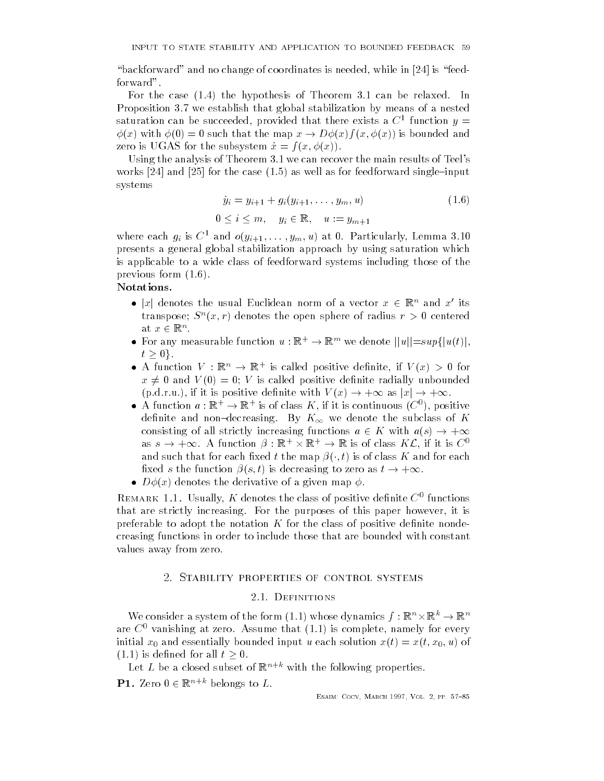backforward and no change of coordinates is neglected while in  $\mathbb{R}^n$  . The intervalse is neglected while in  $\mathbb{R}^n$ forward".

For the case  $(1.4)$  the hypothesis of Theorem 3.1 can be relaxed. In Proposition 3.7 we establish that global stabilization by means of a nested saturation can be succeeded, provided that there exists a  $\bigcirc$  -function  $y=$  $x \sim 1$  is the map  $x \sim 1$  is bounded and  $x \sim 1$  is bounded and  $x \sim 1$  is bounded and  $x \sim 1$  $\mathbf{z}_1$  is used to the substitution of  $\mathbf{z}_2$  and  $\mathbf{z}_3$  and  $\mathbf{z}_4$  and  $\mathbf{z}_5$  and  $\mathbf{z}_7$  and  $\mathbf{z}_8$  and  $\mathbf{z}_7$  and  $\mathbf{z}_8$  and  $\mathbf{z}_7$  and  $\mathbf{z}_8$  and  $\mathbf{z}_9$  and  $\mathbf{z}_8$  and  $\mathbf{z}_9$  an

Using the analysis of Theorem  $3.1$  we can recover the main results of Teel's works and and the case of the case of feedforward singleine as well as well as for feedforward singleinput of t systems

$$
\dot{y}_i = y_{i+1} + g_i(y_{i+1}, \dots, y_m, u) \tag{1.6}
$$

$$
0\leq i\leq m,\quad y_i\in\mathbb{R},\quad u:=y_{m+1}
$$

where each  $g_i$  is  $C$  and  $o(y_{i+1}, \ldots, y_m, u)$  at 0. Particularly, Lemma 5.10 presents a general global stabilization approach by using saturation which is applicable to a wide class of feedforward systems including those of the previous form  $(1.6)$ .

- |x| denotes the usual Euclidean norm of a vector  $x \in \mathbb{R}^n$  and  $x'$  its transpose;  $S^{\,\alpha}(x,r)$  denotes the open sphere of radius  $r > 0$  centered at  $x \in \mathbb{R}^n$ .
- For any measurable function  $u : \mathbb{R}^+ \to \mathbb{R}^m$  we denote  $||u|| = sup{ |u(t)|,}$  $t \geq 0$ .
- A function  $V : \mathbb{R}^n \to \mathbb{R}^n$  is called positive definite, if  $V(x) > 0$  for  $x \neq 0$  and  $V(0) = 0$ ; V is called positive definite radially unbounded  $(p.d.r.u.),$  if it is positive definite with  $V(x) \to +\infty$  as  $|x| \to +\infty$ .
- $\bullet$  A function  $u : \mathbb{R}^+ \to \mathbb{R}^+$  is of class  $\Lambda$ , if it is continuous (C ), positive definite and non-decreasing. By  $K_{\infty}$  we denote the subclass of  $K$ consisting of all strictly increasing functions  $a \in K$  with  $a(s) \to +\infty$ as  $s \to +\infty$ . A function  $\rho : \mathbb{R}^+ \times \mathbb{R}^+ \to \mathbb{R}$  is of class  $R\mathcal{L}$ , if it is  $\cup$ and such that for each such that for each such that for each  $\mathbf{r}$  is of class K and for each for each for each for each  $\mathbf{r}$  $\mathbf{r}$  the function  $\mathbf{r}$  is decreasing to zero as the function  $\mathbf{r}$  is decreasing to  $\mathbf{r}$
- $D\phi(x)$  denotes the derivative of a given map  $\phi$ .

REMARK 1.1. USUAHY, A denotes the class of positive dennite  $\bigcirc$  -functions that are strictly increasing. For the purposes of this paper however, it is preferable to adopt the notation K for the class of positive definite nondecreasing functions in order to include those that are bounded with constant values away from zero

#### 2.1. DEFINITIONS

We consider a system of the form (1.1) whose dynamics  $f : \mathbb{R}^n \times \mathbb{R}^n \to \mathbb{R}^n$ are  $C^0$  vanishing at zero. Assume that  $(1.1)$  is complete, namely for every initial  $\alpha$  and  $\alpha$  and  $\alpha$  and  $\alpha$  are solution  $\alpha$  and  $\alpha$  are solution  $\alpha$  ,  $\alpha$  ,  $\alpha$  ,  $\alpha$  ,  $\alpha$  ,  $\alpha$  ,  $\alpha$  ,  $\alpha$  ,  $\alpha$  ,  $\alpha$  ,  $\alpha$  ,  $\alpha$  ,  $\alpha$  ,  $\alpha$  ,  $\alpha$  ,  $\alpha$  ,  $\alpha$  ,  $\alpha$  ,  $\alpha$  ,  $\alpha$  ,  $(1.1)$  is defined for all  $t \geq 0$ .

Let L be a closed subset of  $\mathbb{R}^{n+k}$  with the following properties.

**PI.** Lero  $0 \in \mathbb{R}^{n \times n}$  belongs to  $L$ .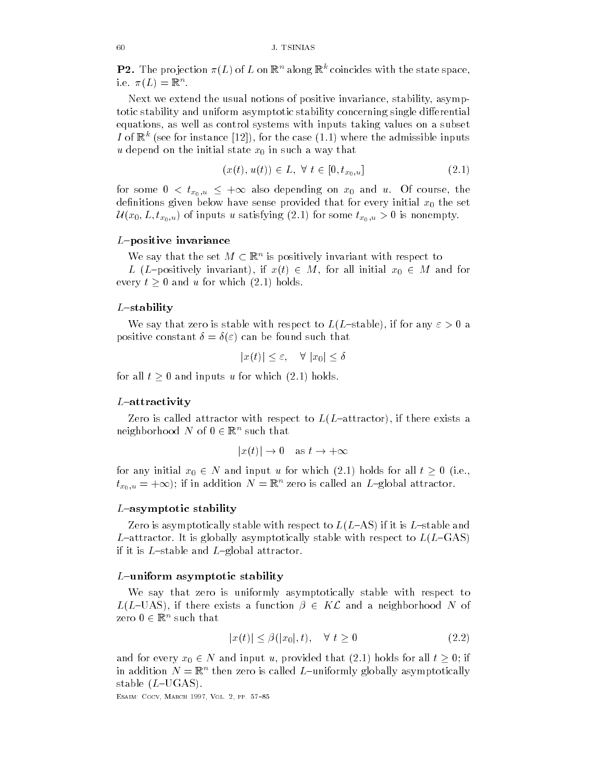**P2.** The projection  $\pi(L)$  of L on  $\mathbb{R}^n$  along  $\mathbb{R}^n$  coincides with the state space, i.e.  $\pi(L) = \mathbb{R}^n$ .

Next we extend the usual notions of positive invariance stability asymptotic stability and uniform asymptotic stability concerning single differential equations as well as control systems with inputs taking values on a subset I of  $\mathbb{R}^n$  (see for instance [12]), for the case (1.1) where the admissible inputs  $u$  depend on the initial state  $x_0$  in such a way that

$$
(x(t), u(t)) \in L, \ \forall \ t \in [0, t_{x_0, u}] \tag{2.1}
$$

for some  $\mathbf{u}_0, \mathbf{u}_1, \ldots, \mathbf{u}_N$  and  $\mathbf{u}_1, \ldots, \mathbf{u}_N$  and  $\mathbf{u}_1, \ldots, \mathbf{u}_N$  and  $\mathbf{u}_1, \ldots, \mathbf{u}_N$ definitions given below have sense provided that for every initial  $x_0$  the set <sup>U</sup> x- L- tx--u of inputs <sup>u</sup> satisfying for some tx- -u is nonempty

## $L$ -positive invariance

We say that the set  $M \subset \mathbb{R}^n$  is positively invariant with respect to

L (L-positively invariant), if  $x(t) \in M$ , for all initial  $x_0 \in M$  and for every  $t \geq 0$  and u for which  $(2.1)$  holds.

#### $L$ -stability

We say that zero is stable with respect to  $L(L$ -stable), if for any  $\varepsilon > 0$  a positive constant  $\delta = \delta(\varepsilon)$  can be found such that

$$
|x(t)| \le \varepsilon, \quad \forall |x_0| \le \delta
$$

for all  $t > 0$  and inputs u for which  $(2.1)$  holds.

#### $L$ -attractivity

Zero is called attractor with respect to  $L(L$ -attractor), if there exists a neignborhood *i*v of  $0 \in \mathbb{R}^n$  such that

$$
|x(t)| \to 0
$$
 as  $t \to +\infty$ 

for any initial  $x_0 \in N$  and input u for which (2.1) holds for all  $t \geq 0$  (i.e.,  $u_{x_0,u} = +\infty$ ); it in addition  $N = \mathbb{R}^n$  zero is called an  $L$ -global attractor.

### $L$ -asymptotic stability

Zero is asymptotically stable with respect to  $L(L-AS)$  if it is  $L$ –stable and L-attractor. It is globally asymptotically stable with respect to  $L(L-\text{GAS})$ if it is  $L$ -stable and  $L$ -global attractor.

#### $L$ –uniform asymptotic stability

We say that zero is uniformly asymptotically stable with respect to  $L(L\text{–UAS})$ , if there exists a function  $\beta \in K\mathcal{L}$  and a neighborhood N of zero υ∈ je ~ such that

$$
|x(t)| \le \beta(|x_0|, t), \quad \forall \ t \ge 0 \tag{2.2}
$$

and for every  $x_0 \in N$  and input u, provided that (2.1) holds for all  $t \geq 0$ ; if in addition *i*v  $= \mathbb{R}^\sim$  then zero is called  $L$  –uniformly globally asymptotically stable  $(L$ -UGAS).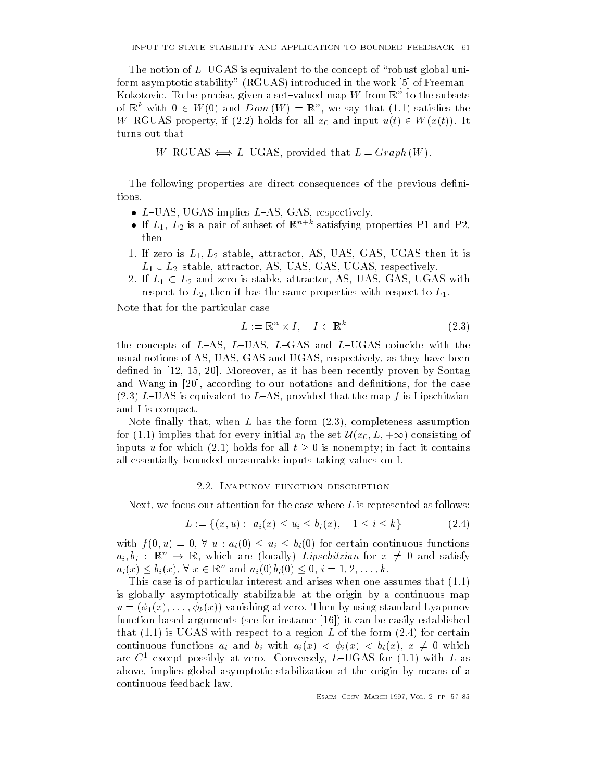The notion of LUGAS is equivalent to the concept of  $\mathbb{R}^n$  and  $\mathbb{R}^n$  are concept of robust global unitfor asymptotic stability RGUAS introduced in the work  $\mathbf{F}_{\mathbf{C}}$ Kokotovic. To be precise, given a set—valued map  $W$  from  $\mathbb{R}^n$  to the subsets of  $\mathbb{R}^n$  with  $0 \in W(0)$  and  $Dom(W) = \mathbb{R}^n$ , we say that (1.1) satisfies the  $W=\text{RGUAS}$  property, if (2.2) holds for all  $x_0$  and input  $u(t) \in W(x(t))$ . It turns out that

 $W-RGUAS \Longleftrightarrow L-UGAS$ , provided that  $L=Graph(W)$ .

The following properties are direct consequences of the previous definitions.

- $L$ -UAS, UGAS implies  $L$ -AS, GAS, respectively.
- $\bullet$  If  $L_1,~L_2$  is a pair of subset of  $\mathbb{R}^{n+m}$  satisfying properties PT and P2, then
- $\blacksquare$  is the contractor in the contractor of the international contractor is in the contractor of the contractor of the contractor of the contractor of the contractor of the contractor of the contractor of the contractor  $L_1 \cup L_2$ -stable, attractor, AS, UAS, GAS, UGAS, respectively.
- 2. If  $L_1 \subset L_2$  and zero is stable, attractor, AS, UAS, GAS, UGAS with respect to  $L_2$ , then it has the same properties with respect to  $L_1$ .

Note that for the particular case

$$
L := \mathbb{R}^n \times I, \quad I \subset \mathbb{R}^k \tag{2.3}
$$

the concepts of  $L-AS$ ,  $L-UAS$ ,  $L-gas$  and  $L-UGAS$  coincide with the usual notions of AS UAS GAS and UGAS respectively as they have been dened in the contract of the contract of the contract of the contract of the contract of the contract of the contract of the contract of the contract of the contract of the contract of the contract of the contract of the c and wang in  $\mathcal{M}$  in the case of the case our notations and denitions and denitions and denitions and denitions and denitions are denited by  $\mathcal{M}$ (2.3) L-UAS is equivalent to L-AS, provided that the map  $f$  is Lipschitzian and I is compact

Note finally that, when  $L$  has the form  $(2.3)$ , completeness assumption for implies that for every initial x the set <sup>U</sup> x- L- consisting of inputs u for which (2.1) holds for all  $t \geq 0$  is nonempty; in fact it contains all essentially bounded measurable inputs taking values on I

#### 2.2. Lyapunov function description

Next, we focus our attention for the case where  $L$  is represented as follows:

$$
L := \{(x, u) : a_i(x) \le u_i \le b_i(x), \quad 1 \le i \le k\}
$$
\n
$$
(2.4)
$$

with fixed  $\mu$  and  $\mu$  and  $\mu$  and  $\mu$  for continuous functions functions functions functions functions functions  $\mu$  $a_i, b_i$  :  $\mathbb{R}^n \rightarrow \mathbb{R}$ , which are (locally) *Lipschitzian* for  $x \neq 0$  and satisfy  $a_i(x) \leq b_i(x)$ ,  $\vee x \in \mathbb{R}^n$  and  $a_i(0)b_i(0) \leq 0$ ,  $i = 1, 2, \ldots, \kappa$ .

This case is of particular interest and arises when one assumes that  $(1.1)$ is globally asymptotically stabilizable at the origin by a continuous map u x vanishing at x vanishing at x vanishing standard vanishing standard vanishing standard vanishing van die function based arguments see for instance it can be easily established that  $(1.1)$  is UGAS with respect to a region L of the form  $(2.4)$  for certain continuous functions and binding and binding  $\mathbb{R}^n$  and binding  $\mathbb{R}^n$  binding  $\mathbb{R}^n$  . Then the state  $\mathbb{R}^n$  and  $\mathbb{R}^n$  are stated in the state  $\mathbb{R}^n$  and  $\mathbb{R}^n$  are stated in the state  $\mathbb{R$ are  $C^1$  except possibly at zero. Conversely, L-UGAS for (1.1) with L as above implies global asymptotic stabilization at the origin by means of a continuous feedback law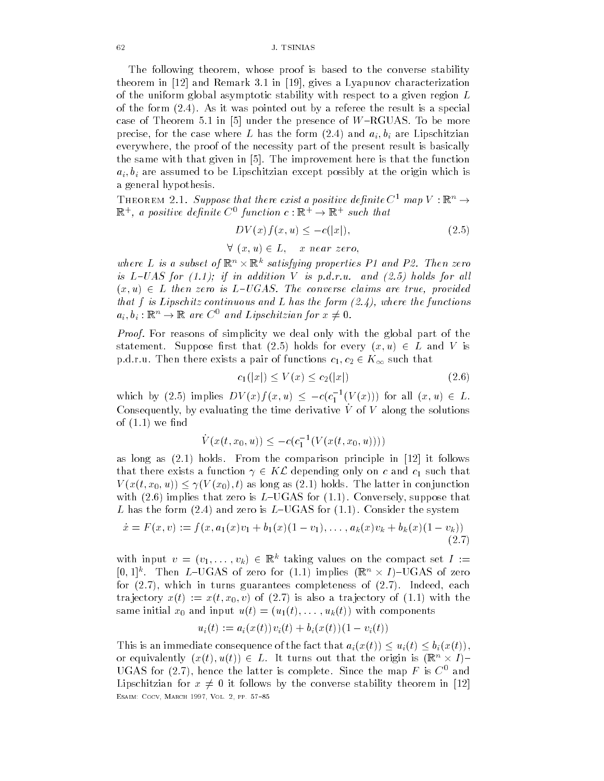The following theorem whose proof is based to the converse stability theorem in and Remark in  gives a Lyapunov characterization of the uniform global asymptotic stability with respect to a given region  $L$ of the form  $(2.4)$ . As it was pointed out by a referee the result is a special case of Theorem in under the presence of WRGUAS To be more precise the case where  $\mathcal{N}$  and ai-dimensional air  $\mathcal{N}$  and ai-dimensional air  $\mathcal{N}$ everywhere, the proof of the necessity part of the present result is basically the same with the improvement in  $\Gamma$  improvement here is that the function  $\Gamma$ ai- bi are assumed to be Lipschitzian except possibly at the origin which is a general hypothesis

**THEOREM 2.1. Suppose that there exist a positive definite C = map V : K**  $\rightarrow$  $\mathbb{R}^n$ , a positive definite  $C$  function  $c : \mathbb{R}^n \to \mathbb{R}^n$  such that

$$
DV(x)f(x,u) \le -c(|x|),\tag{2.5}
$$

$$
\forall (x, u) \in L, \quad x \text{ near zero},
$$

where L is a subset of  $\mathbb{R}^n \times \mathbb{R}^n$  satisfying properties P1 and P2. Then zero is the contract of the contract of the contract of the contract of the contract of the contract of the contract of the contract of the contract of the contract of the contract of the contract of the contract of the contra x- u L then zero is LUGAS The converse claims are true provided that  $f$  is Lipschitz continuous and  $L$  has the form  $(2.4)$ , where the functions  $a_i, b_i: \mathbb{R}^n \to \mathbb{R}$  are  $C^{\perp}$  and Lipschitzian for  $x \neq 0$ .

Proof. For reasons of simplicity we deal only with the global part of the statement Suppose rate of the suppose rate  $\mathcal{S}$  is that  $\mathcal{S}$  is the suppose rate of the suppose rate  $\mathcal{S}$ port then the correct a pair of the correct a pair of the correct of the correct of the correct of the correct of that the correct of the correct of the correct of the correct of the correct of the correct of the correct o

$$
c_1(|x|) \le V(x) \le c_2(|x|) \tag{2.6}
$$

which by (2.5) implies  $DV(x)J(x, u) \leq -c(c_1^{-1}(V(x)))$  for all  $(x, u) \in L$ . Consequently, by evaluating the time derivative  $\dot{V}$  of  $V$  along the solutions of  $(1.1)$  we find

$$
\dot{V}(x(t,x_0,u)) \leq -c(c_1^{-1}(V(x(t,x_0,u))))
$$

as long as it follows From the comparison principle in the comparison principle in the comparison principle in that there exists a function  $\gamma \in K\mathcal{L}$  depending only on c and  $c_1$  such that V xt- x- u V x- t as long as holds The latter in conjunction with  $(2.6)$  implies that zero is L-UGAS for  $(1.1)$ . Conversely, suppose that L has the form (2.4) and zero is L-UGAS for  $(1.1)$ . Consider the system

$$
\dot{x} = F(x, v) := f(x, a_1(x)v_1 + b_1(x)(1 - v_1), \dots, a_k(x)v_k + b_k(x)(1 - v_k))
$$
\n(2.7)

with input  $v = (v_1, \ldots, v_k) \in \mathbb{R}^n$  taking values on the compact set  $I :=$  $[0,1]$ ". I nen L-UGAS of zero for  $(1.1)$  implies  $(\mathbb{R}^n \times I)$ -UGAS of zero for  $(2.7)$ , which in turns guarantees completeness of  $(2.7)$ . Indeed, each tra jectory v of the intervention of the state of the state in the state of the state in the state of the state in the state in the state in the state in the state in the state in the state in the state in the state in the same initial x and interest with the components of the components of the components of the components of the components of the components of the components of the components of the components of the components of the compo

$$
u_i(t) := a_i(x(t))v_i(t) + b_i(x(t))(1 - v_i(t))
$$

This is an immediate consequence of the fact that  $a_i(x(t)) \leq u_i(t) \leq b_i(x(t))$ , or equivalently  $(x(t), u(t)) \in L$ . It turns out that the origin is  $(\mathbb{R}^n \times I)^\perp$ UGAS for (2.7), hence the latter is complete. Since the map  $F$  is  $C^0$  and Lipschitzian for  $x \neq 0$  it follows by the converse stability theorem in [12] ———————————————————————————————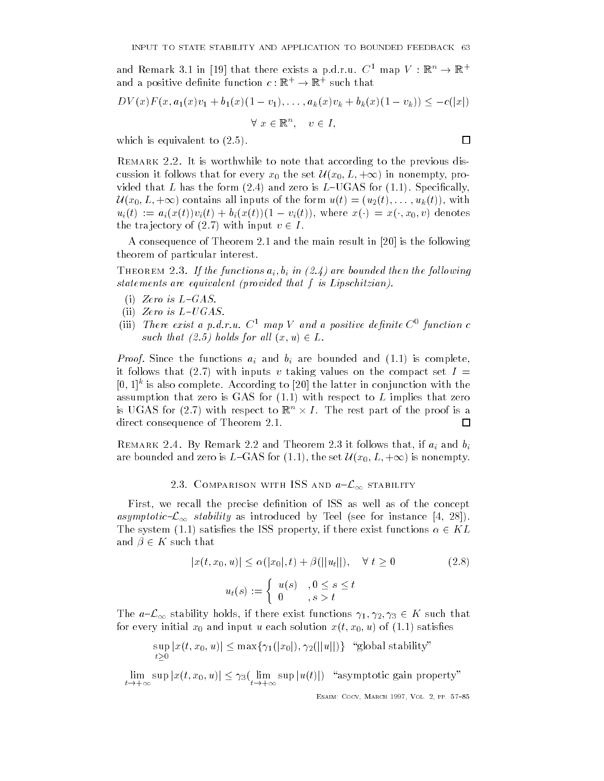and remark 5.1 in [19] that there exists a p.d.r.u.  $C^-$  map  $V$  : in  $\rightarrow$  in  $\rightarrow$ and a positive denitive function  $c : \mathbb{R}^+ \to \mathbb{R}^+$  such that

$$
DV(x)F(x, a_1(x)v_1 + b_1(x)(1 - v_1), \dots, a_k(x)v_k + b_k(x)(1 - v_k)) \leq -c(|x|)
$$
  

$$
\forall x \in \mathbb{R}^n, \quad v \in I,
$$

which is equivalent to  $(2.5)$ .

REMARK 2.2. It is worthwhile to note that according to the previous discussion is the set U x-1 in the set U x-1 in the set U x-1 in the set U x-1 in non-method in the set U x-1 in the set U x-1 in the set U x-1 in the set U x-1 in the set U x-1 in the set U x-1 in the set U x-1 in the set U vided that L has the form  $(2.4)$  and zero is L-UGAS for  $(1.1)$ . Specifically, the view of the form and the form unit of the form unit of the form unit of the form unit of the form unit of t  $\mathcal{U}$  , we denote the vital contract  $\mathcal{U}$  and  $\mathcal{U}$  are  $\mathcal{U}$  and  $\mathcal{U}$  and  $\mathcal{U}$  are  $\mathcal{U}$  and  $\mathcal{U}$  are  $\mathcal{U}$  and  $\mathcal{U}$  are  $\mathcal{U}$  and  $\mathcal{U}$  are  $\mathcal{U}$  and  $\mathcal{U}$  are  $\mathcal{U}$  and the trajectory of  $(2.7)$  with input  $v \in I$ .

A consequence of Theorem and the main result in is the following theorem of particular interest

 $\mathbf{J}$  is a functions and the functions are bounded the following and  $\mathbf{J}$ statements are equivalent (provided that  $f$  is Lipschitzian).

- (i) Zero is  $L$ -GAS.
- (ii) Zero is  $L$ -UGAS.
- (iii) There exist a p.a.r.u.  $\cup$  map  $\ell$  and a positive definite  $\cup$  function c such that is a construction of the construction of the construction of the construction of the construction of

Proof Since the functions ai and bi are bounded and is complete it follows that (2.7) with inputs v taking values on the compact set  $I =$  $[0,1]^\circ$  is also complete. According to  $[20]$  the latter in conjunction with the assumption that zero is GAS for  $(1.1)$  with respect to L implies that zero is UGAS for (2.1) with respect to  $\mathbb{R}^n \times I$  . The rest part of the proof is a direct consequence of Theorem 2.1. □

 $R$  remarks that if and the matrix is follows that if and binary is a set of all  $\mu$  and binary is and binary is and binary is and binary is and binary is and binary is and binary is and binary is and binary is an and bi are bounded and  $\alpha$  is the set  $\alpha$  is the set  $\alpha$  is non-motion in the set  $\alpha$ 

### 2.3. COMPARISON WITH ISS AND  $a-\mathcal{L}_\infty$  stability

First, we recall the precise definition of ISS as well as of the concept as introduced by Teel stability as internal by Teel see for instanced by Teel see for instance  $\mathcal{A}$ The system (1.1) satisfies the ISS property, if there exist functions  $\alpha \in KL$ and  $\beta \in K$  such that

$$
|x(t, x_0, u)| \le \alpha(|x_0|, t) + \beta(||u_t||), \quad \forall t \ge 0
$$
  

$$
u_t(s) := \begin{cases} u(s) & , 0 \le s \le t \\ 0 & , s > t \end{cases}
$$
 (2.8)

 $\mathcal{L}=\infty$  is a construction of the algebra in the stability of the stability of the stability of the stability of the stability of the stability of the stability of the stability of the stability of the stability of the for every influence  $\alpha$  and input use of the solution  $\alpha$  ,  $\alpha$  and  $\alpha$  and  $\alpha$  and  $\alpha$ 

$$
\sup_{t\geq 0} |x(t, x_0, u)| \leq \max\{\gamma_1(|x_0|), \gamma_2(||u||)\} \text{``global stability''}
$$

 $\mu \rightarrow +\infty$  is  $\mu$  if  $\mu$  is  $\mu$  if  $\mu$  is  $\mu$  if  $\mu$  is  $\mu$  is  $\mu$  is  $\mu$  is  $\mu$  is  $\mu$  is  $\mu$  is  $\mu$  is  $\mu$  is  $\mu$  is  $\mu$  is  $\mu$  is  $\mu$  is  $\mu$  is  $\mu$  is  $\mu$  is  $\mu$  is  $\mu$  is  $\mu$  is  $\mu$  is  $\mu$  is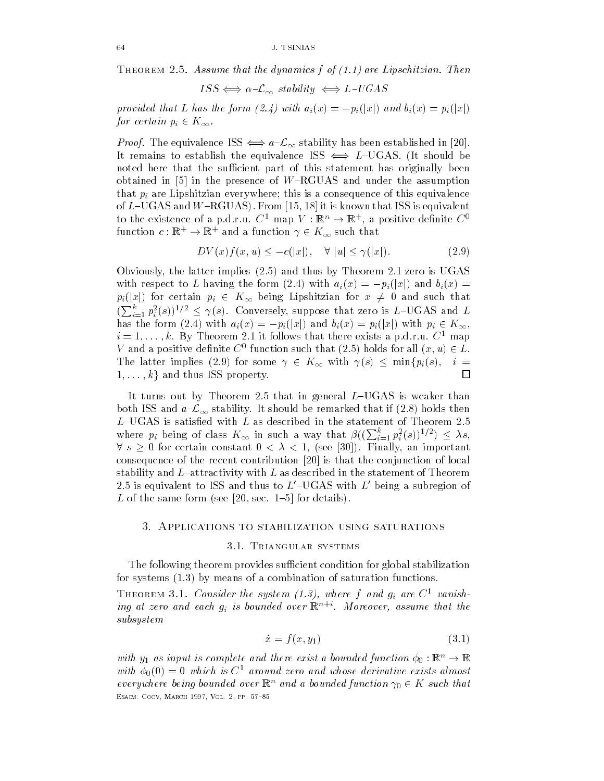THEOREM 2.5. Assume that the dynamics f of  $(1.1)$  are Lipschitzian. Then

$$
ISS \Longleftrightarrow \alpha-\mathcal{L}_{\infty} \text{ stability} \Longleftrightarrow L-UGAS
$$

provided that L has the form (2.4) with  $a_i(x) = -p_i(|x|)$  and  $b_i(x) = p_i(|x|)$  $f$  is a contract of  $f$  is a contract of  $\infty$ 

Proof The equivalence ISS  aL stability has been established in It remains to establish the equivalence ISS  $\iff L$ –UGAS. (It should be noted here that the sufficient part of this statement has originally been obtained in the presence of WRGUAS and under the presence of WRGUAS and under the assumption of WRGUAS and und that pin are Lipshitzian eventy where this is a consequence of this equivalence of this equivalence of this equivalence of this equivalence of this equivalence of this equivalence of this equivalence of this equivalence o of LUGAS and WRGUAS From  $\mathbf I$  is the  $\mathbf I$  is the  $\mathbf I$ to the existence of a p.d.f.u.  $C^+$  map  $V : \mathbb{R}^n \to \mathbb{R}^n$ , a positive definite  $C^+$ function  $c : \mathbb{R}^+ \to \mathbb{R}^+$  and a function  $\gamma \in \mathbb{R}^{\infty}$  such that

$$
DV(x)f(x,u) \le -c(|x|), \quad \forall |u| \le \gamma(|x|). \tag{2.9}
$$

Obviously, the latter implies  $(2.5)$  and thus by Theorem 2.1 zero is UGAS with respect to L having the form (2.4) with  $a_i(x) = -p_i(|x|)$  and  $b_i(x) =$ pint for an and such that contracts are contracted to the such that  $\mu$  is the such that  $\mu$  is the such that  $\mu$  $(\sum_{i=1}^{\kappa} p_i^2(s))^{1/2} \leq \gamma(s)$ . Conversely, suppose that zero is L–UGAS and L ihas the form in the form  $\mathbb{R}^n$  and  $\mathbb{R}^n$  with pixels  $\mathbb{R}^n$  with pixels  $\mathbb{R}^n$  $i = 1, \ldots, \kappa.$  Dy Theorem 2.1 it follows that there exists a p.d.f.u.  $\cup$  -map *V* and a positive definite C - function such that  $(Z, \partial)$  holds for all  $(x, u) \in L$ . The latter implies (2.9) for some  $\gamma \in K_{\infty}$  with  $\gamma(s) \leq \min\{p_i(s),\}$  $i =$  $\Box$ - kg and thus ISS property in the contract of the contract of the contract of the contract of the contract of the contract of the contract of the contract of the contract of the contract of the contract of the contract of

It turns out by Theorem 2.5 that in general  $L$ –UGAS is weaker than both ISS and  $a-\mathcal{L}_{\infty}$  stability. It should be remarked that if (2.8) holds then L–UGAS is satisfied with  $L$  as described in the statement of Theorem 2.5 where  $p_i$  being of class  $K_{\infty}$  in such a way that  $\beta((\sum_{i=1}^{\kappa} p_i^2(s))^{1/2}) \leq \lambda s$ , s and for certain constant  $\mathbf{r}$  and  $\mathbf{r}$  and  $\mathbf{r}$  and  $\mathbf{r}$  and  $\mathbf{r}$  and  $\mathbf{r}$ consequence of the recent contribution  $\mathbf{r}$ stability and  $L$ -attractivity with  $L$  as described in the statement of Theorem 2.5 is equivalent to ISS and thus to  $L'$ –UGAS with  $L'$  being a subregion of  $\mathbf{A}$  and see  $\mathbf{A}$  and see  $\mathbf{A}$  and see  $\mathbf{A}$  and see  $\mathbf{A}$  and see  $\mathbf{A}$  and see  $\mathbf{A}$ 

#### 3. Applications to stabilization using saturations

#### 3.1. TRIANGULAR SYSTEMS

The following theorem provides sufficient condition for global stabilization for systems  $(1.3)$  by means of a combination of saturation functions.

**THEOREM 3.1.** Consider the system  $(1.5)$ , where f and  $q_i$  are C vanishing at zero and each  $g_i$  is bounded over  $\mathbb{R}^{n\times n}$  . Moreover, assume that the subsystem

$$
\dot{x} = f(x, y_1) \tag{3.1}
$$

with  $y_1$  as input is complete and there exist a bounded function  $\phi_0 : \mathbb{R}^n \to \mathbb{R}$ with  $\phi_0(0) = 0$  which is  $C^1$  around zero and whose derivative exists almost everywhere being bounded over  $\mathbb{R}^n$  and a bounded function  $\gamma_0 \in K$  such that ———————————————————————————————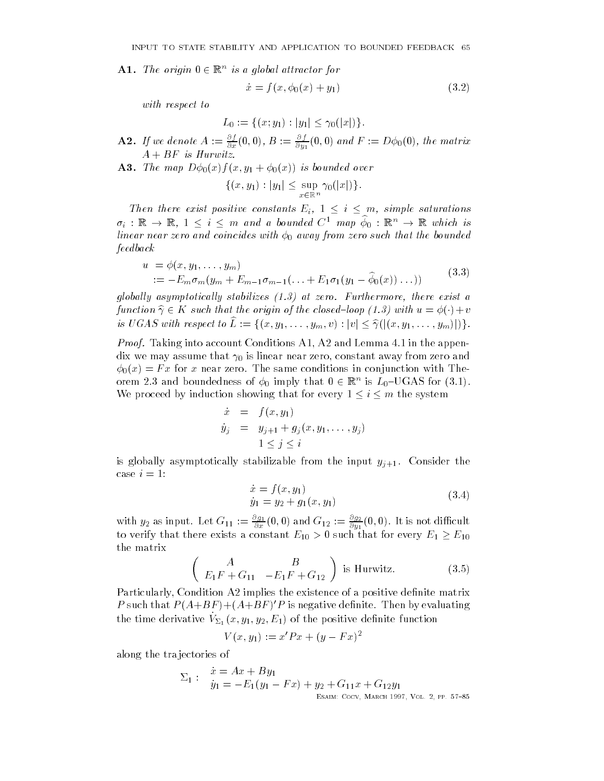**A1.** The origin  $0 \in \mathbb{R}^n$  is a global attractor for

$$
\dot{x} = f(x, \phi_0(x) + y_1) \tag{3.2}
$$

with respect to

$$
L_0 := \{(x; y_1) : |y_1| \le \gamma_0(|x|)\}.
$$

- **A2.** If we denote  $A := \frac{1}{\partial x}(0,0), B := \frac{1}{\partial y_1}(0,0)$  and  $F := D\phi_0(0),$  the matrix  $A + BF$  is Hurwitz.
- A- The map Dxf x- y x is bounded over

$$
\{(x,y_1): |y_1| \leq \sup_{x \in \mathbb{R}^n} \gamma_0(|x|) \}.
$$

Then the exist positive constants  $\mathbb{R}^n$  are existent saturations in the eigenvalue of  $\mathbb{R}^n$  $\sigma_i$  :  $\mathbb{R} \to \mathbb{R}$ ,  $1 \leq i \leq m$  and a bounded  $C$  map  $\varphi_0$  :  $\mathbb{R}^n \to \mathbb{R}$  which is linear near zero and coincides with  $\phi_0$  away from zero such that the bounded feedback

$$
u = \phi(x, y_1, \dots, y_m)
$$
  
 :=  $-E_m \sigma_m (y_m + E_{m-1} \sigma_{m-1} (\dots + E_1 \sigma_1 (y_1 - \widehat{\phi}_0(x)) \dots))$  (3.3)

qlobally asymptotically stabilizes  $(1.3)$  at zero. Furthermore, there exist a function  $\hat{\gamma} \in K$  such that the origin of the closed-loop (1.3) with  $u = \phi(\cdot) + v$ is UGAS with respect to Lb fx- y- -ym- v jvj bjx- y- -ymjg

*Proof.* Taking into account Conditions A1, A2 and Lemma  $4.1$  in the appendix we may assume that  $\gamma_0$  is linear near zero, constant away from zero and  $\phi_0(x) = Fx$  for x near zero. The same conditions in conjunction with Theorem 2.5 and boundedness of  $\varphi_0$  imply that  $0 \in \mathbb{R}^n$  is  $L_0$ -UGAS for (5.1). We proceed by induction showing that for every  $1 \le i \le m$  the system

$$
\dot{x} = f(x, y_1)
$$
  
\n
$$
\dot{y}_j = y_{j+1} + g_j(x, y_1, \dots, y_j)
$$
  
\n
$$
1 \leq j \leq i
$$

is globally asymptotically stabilizable from the input  $y_{j+1}$ . Consider the case  $i=1$ :

$$
\begin{aligned} \dot{x} &= f(x, y_1) \\ \dot{y}_1 &= y_2 + g_1(x, y_1) \end{aligned} \tag{3.4}
$$

with  $y_2$  as input. Let  $G_{11} := \frac{34}{\partial x}(0,0)$  and  $G_{12} := \frac{34}{\partial y_1}(0,0)$ . It is not difficult to verify that there exists a constant  $E_{10} > 0$  such that for every  $E_1 \ge E_{10}$ the matrix

$$
\left(\begin{array}{cc} A & B \\ E_1 F + G_{11} & -E_1 F + G_{12} \end{array}\right)
$$
 is Hurwitz. (3.5)

Particularly, Condition A2 implies the existence of a positive definite matrix  $P$  such that  $P$  (A+DT) +(A+DT) F is negative denitie. Then by evaluating the time derivative  $v_{\Sigma_1}(x, y_1, y_2, E_1)$  of the positive denities function

$$
V(x, y_1) := x'Px + (y - Fx)^2
$$

along the tra jectories of

$$
\Sigma_1: \begin{array}{l} \dot{x} = Ax + By_1 \\ \dot{y}_1 = -E_1(y_1 - Fx) + y_2 + G_{11}x + G_{12}y_1 \\ \text{Esain: Cocy, Maked 1997, Vol. 2, PP. 57-85} \end{array}
$$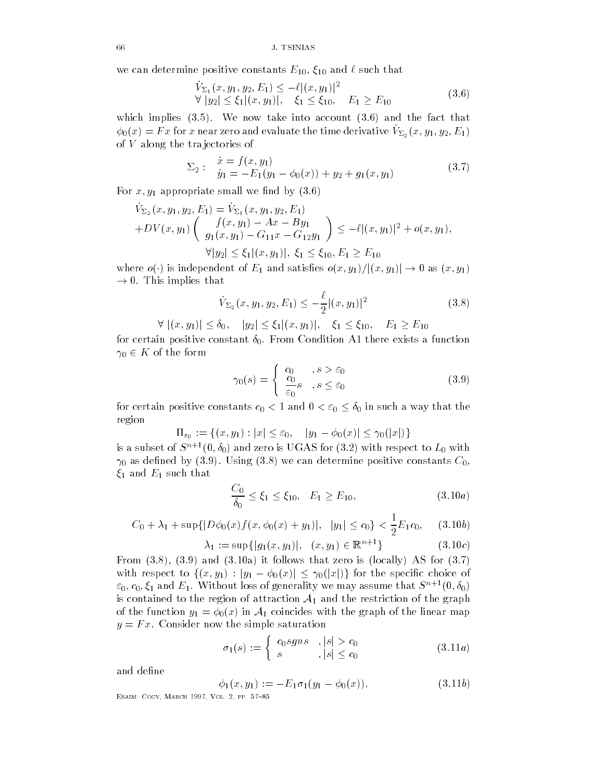we can determine positive constants  $E_{10}$ ,  $\xi_{10}$  and  $\ell$  such that

$$
\begin{aligned} \n\dot{V}_{\Sigma_1}(x, y_1, y_2, E_1) &\le -\ell |(x, y_1)|^2\\ \n\forall \ |y_2| &\le \xi_1 |(x, y_1)|, \quad \xi_1 \le \xi_{10}, \quad E_1 \ge E_{10} \n\end{aligned} \tag{3.6}
$$

which implies  $(3.5)$ . We now take into account  $(3.6)$  and the fact that  $\varphi_0(x) = r x$  for x hear zero and evaluate the time derivative  $v_{\Sigma_2}(x, y_1, y_2, L_1)$ of V along the tra jectories of

$$
\Sigma_2: \quad \begin{array}{l} \dot{x} = f(x, y_1) \\ \dot{y}_1 = -E_1(y_1 - \phi_0(x)) + y_2 + g_1(x, y_1) \end{array} \tag{3.7}
$$

For x- y appropriate small we nd by

$$
\dot{V}_{\Sigma_2}(x, y_1, y_2, E_1) = \dot{V}_{\Sigma_1}(x, y_1, y_2, E_1) + DV(x, y_1) \left( \begin{array}{c} f(x, y_1) - Ax - By_1 \\ g_1(x, y_1) - G_{11}x - G_{12}y_1 \end{array} \right) \le -\ell |(x, y_1)|^2 + o(x, y_1),
$$

where the contract of the contract of the contract of the contract of the contract of the contract of the contract of the contract of the contract of the contract of the contract of the contract of the contract of the cont  $\rightarrow$  0. This implies that

 $j$  iver  $j = 3 + 11$  iver  $j = 3 + 21$  iversity in  $j = 10$ 

$$
\dot{V}_{\Sigma_2}(x, y_1, y_2, E_1) \le -\frac{\ell}{2} |(x, y_1)|^2 \tag{3.8}
$$

 $\frac{1}{2}$  ,  $\frac{1}{2}$  ,  $\frac{1}{2}$  ,  $\frac{1}{2}$  ,  $\frac{1}{2}$  ,  $\frac{1}{2}$  ,  $\frac{1}{2}$  ,  $\frac{1}{2}$  ,  $\frac{1}{2}$  ,  $\frac{1}{2}$  ,  $\frac{1}{2}$  ,  $\frac{1}{2}$  ,  $\frac{1}{2}$ 

for certain positive constant  $\delta_0$ . From Condition A1 there exists a function  $\gamma_0 \in K$  of the form

$$
\gamma_0(s) = \begin{cases} c_0, & s > \varepsilon_0 \\ \frac{c_0}{\varepsilon_0} s, & s \le \varepsilon_0 \end{cases}
$$
 (3.9)

for certain positive constants  $c_0 < 1$  and  $0 < \varepsilon_0 \leq \delta_0$  in such a way that the region

 $\begin{pmatrix} 0 & 0 & 0 \\ 0 & 1 & 0 \end{pmatrix}$  is the set of  $\begin{pmatrix} 0 & 0 \\ 0 & 1 \end{pmatrix}$  is the set of  $\begin{pmatrix} 0 & 0 \\ 0 & 1 \end{pmatrix}$  is the set of  $\begin{pmatrix} 0 & 0 \\ 0 & 1 \end{pmatrix}$  is the set of  $\begin{pmatrix} 0 & 0 \\ 0 & 1 \end{pmatrix}$  is the set of  $\begin{pmatrix} 0 & 0 \\ 0$ 

is a subset of  $S^{++}(0, \theta_0)$  and zero is UGAS for (5.2) with respect to  $L_0$  with  $\gamma_0$  as defined by (3.9). Using (3.8) we can determine positive constants  $C_0$ ,  $\xi_1$  and  $E_1$  such that

$$
\frac{C_0}{\delta_0} \le \xi_1 \le \xi_{10}, \quad E_1 \ge E_{10}, \tag{3.10a}
$$

$$
C_0 + \lambda_1 + \sup\{|D\phi_0(x)f(x, \phi_0(x) + y_1)|, |y_1| \le c_0\} < \frac{1}{2}E_1c_0, \quad (3.10b)
$$

$$
\lambda_1 := \sup\{|g_1(x, y_1)|, (x, y_1) \in \mathbb{R}^{n+1}\}\tag{3.10c}
$$

From  $(3.8)$ ,  $(3.9)$  and  $(3.10a)$  it follows that zero is (locally) AS for  $(3.7)$ with respect to find  $y_1$  ,  $y_2$  for the special choice of the species of the species of the species of the species of the species of the species of the species of the species of the species of the species of the specie  $\varepsilon_0, c_0, \xi_1$  and  $E_1.$  without loss of generality we may assume that  $S^{n+1}(0, o_0)$ is contained to the region of attraction  $A_1$  and the restriction of the graph of the function  $y_1 = \phi_0(x)$  in  $\mathcal{A}_1$  coincides with the graph of the linear map  $y = Fx$ . Consider now the simple saturation

$$
\sigma_1(s) := \begin{cases} c_0sgns & , |s| > c_0 \\ s & , |s| \le c_0 \end{cases} \tag{3.11a}
$$

and define

$$
\phi_1(x, y_1) := -E_1 \sigma_1(y_1 - \phi_0(x)). \tag{3.11b}
$$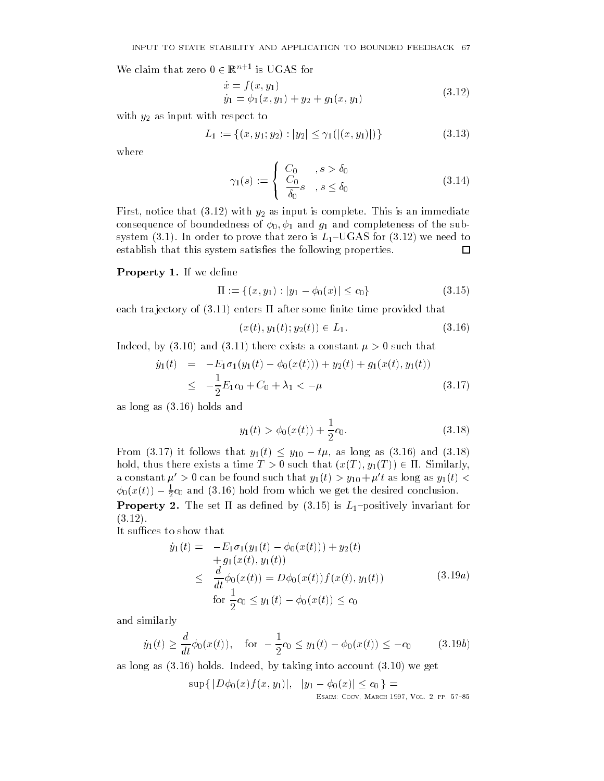We claim that zero  $0 \in \mathbb{R}^{n+1}$  is UGAS for

$$
\begin{aligned}\n\dot{x} &= f(x, y_1) \\
\dot{y}_1 &= \phi_1(x, y_1) + y_2 + g_1(x, y_1)\n\end{aligned} \tag{3.12}
$$

with  $y_2$  as input with respect to

$$
L_1 := \{(x, y_1, y_2) : |y_2| \le \gamma_1(|(x, y_1)|)\}\
$$
\n(3.13)

where

$$
\gamma_1(s) := \begin{cases} C_0, & s > \delta_0 \\ C_0, & s \le \delta_0 \\ \delta_0, & s \le \delta_0 \end{cases} \tag{3.14}
$$

First, notice that  $(3.12)$  with  $y_2$  as input is complete. This is an immediate consequence of boundedness of - and g and completeness of the subsystem (3.1). In order to prove that zero is  $L_1$ –UGAS for (3.12) we need to establish that this system satisfies the following properties. 囗

#### Property - If we dene

$$
\Pi := \{(x, y_1) : |y_1 - \phi_0(x)| \le c_0\}
$$
\n(3.15)

each trajectory of  $(3.11)$  enters  $\Pi$  after some finite time provided that

$$
(x(t), y_1(t); y_2(t)) \in L_1.
$$
\n(3.16)

Indeed, by (3.10) and (3.11) there exists a constant  $\mu > 0$  such that

$$
\dot{y}_1(t) = -E_1 \sigma_1(y_1(t) - \phi_0(x(t))) + y_2(t) + g_1(x(t), y_1(t))
$$
\n
$$
\leq -\frac{1}{2} E_1 c_0 + C_0 + \lambda_1 < -\mu \tag{3.17}
$$

as long as  $(3.16)$  holds and

$$
y_1(t) > \phi_0(x(t)) + \frac{1}{2}c_0.
$$
 (3.18)

From (3.17) it follows that  $y_1(t) \le y_{10} - t\mu$ , as long as (3.16) and (3.18)  $\mathcal{N}$  there exists a time T  $\mathcal{N}$  a time T  $\mathcal{N}$  - time T  $\mathcal{N}$  - time T  $\mathcal{N}$  - time T  $\mathcal{N}$ a constant  $\mu' > 0$  can be found such that  $y_1(t) > y_{10} + \mu' t$  as long as  $y_1(t) <$  $\varphi_0(x(t)) = \frac{1}{2}c_0$  and (3.16) note from which we get the desired conclusion. Property - The set as dened by is Lpositively invariant for  $(3.12).$ 

It suffices to show that

$$
\dot{y}_1(t) = -E_1 \sigma_1(y_1(t) - \phi_0(x(t))) + y_2(t) \n+ g_1(x(t), y_1(t)) \n\leq \frac{d}{dt} \phi_0(x(t)) = D\phi_0(x(t)) f(x(t), y_1(t)) \n\text{for } \frac{1}{2}c_0 \leq y_1(t) - \phi_0(x(t)) \leq c_0
$$
\n(3.19a)

and similarly

$$
\dot{y}_1(t) \ge \frac{d}{dt} \phi_0(x(t)), \quad \text{for } -\frac{1}{2}c_0 \le y_1(t) - \phi_0(x(t)) \le -c_0
$$
\n(3.19b)

as long as (3.16) holds. Indeed, by taking into account (3.10) we get

 $\tau$  , and  $\tau$  is the group  $\tau$  and  $\tau$  is the contract of  $\tau$  is the contract of  $\tau$  is the contract of  $\tau$ esant cocopy examples a cocopy of the cocopy of the co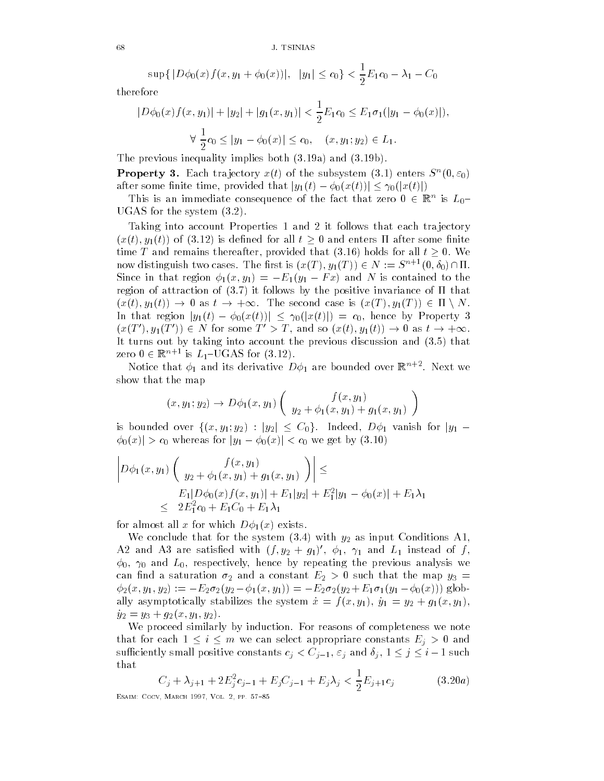$\sup\{|D\phi_0(x)f(x,y_1+\phi_0(x))|, |y_1|\leq c_0\}\leq -E_1c_0-\lambda_1-C_0$ 

therefore

$$
|D\phi_0(x)f(x,y_1)| + |y_2| + |g_1(x,y_1)| < \frac{1}{2}E_1c_0 \le E_1\sigma_1(|y_1 - \phi_0(x)|),
$$
  

$$
\forall \frac{1}{2}c_0 \le |y_1 - \phi_0(x)| \le c_0, \quad (x, y_1; y_2) \in L_1.
$$

The previous inequality implies both  $(3.19a)$  and  $(3.19b)$ . **Property 3.** Each trajectory  $x(t)$  of the subsystem  $(3.1)$  enters  $S^{\pi}(0,\varepsilon_0)$ 

after some finite time, provided that  $|y_1(t) - \phi_0(x(t))| \leq \gamma_0(|x(t)|)$ 

I his is an immediate consequence of the fact that zero  $0 \in \mathbb{R}^n$  is  $L_0$ -UGAS for the system  $(3.2)$ .

Taking into account Properties 1 and 2 it follows that each trajectory  $\begin{array}{ccc} \text{1} & \text{1} & \text{1} & \text{1} & \text{1} & \text{1} & \text{1} & \text{1} & \text{1} & \text{1} & \text{1} & \text{1} & \text{1} & \text{1} & \text{1} & \text{1} & \text{1} & \text{1} & \text{1} & \text{1} & \text{1} & \text{1} & \text{1} & \text{1} & \text{1} & \text{1} & \text{1} & \text{1} & \text{1} & \text{1} & \text{1} & \text{1} & \text{1} & \text{1} & \text{1} & \text{$ time T and remains thereafter, provided that (3.16) holds for all  $t \geq 0$ . We now distinguish two cases. The first is  $(x(1), y_1(1)) \in N := S^{n+1}(0, o_0)$  in Fig.  $\mathcal{S}$  is that  $\mathcal{S}$  and  $\mathcal{S}$  and  $\mathcal{S}$  and  $\mathcal{S}$  and  $\mathcal{S}$  and  $\mathcal{S}$  and  $\mathcal{S}$  and  $\mathcal{S}$  are  $\mathcal{S}$  and  $\mathcal{S}$  and  $\mathcal{S}$  are  $\mathcal{S}$  and  $\mathcal{S}$  are  $\mathcal{S}$  and  $\mathcal{S}$  are  $\mathcal{S}$  region of attraction of  $(3.7)$  it follows by the positive invariance of  $\Pi$  that xt- yt as t The second case is xT - yT n N In that region  $|y_1(t) - \phi_0(x(t))| \leq \gamma_0(|x(t)|) = c_0$ , hence by Property 3  $(x(t), y_1(t)) \in N$  for some  $t > 1$ , and so  $(x(t), y_1(t)) \to 0$  as  $t \to +\infty$ . It turns out by taking into account the previous discussion and  $(3.5)$  that zero  $0 \in \mathbb{R}^{n+1}$  is  $L_1$ -UGAS for  $(3.12)$ .

Notice that  $\phi_1$  and its derivative  $D\phi_1$  are bounded over  $\mathbb{R}^{n+2}.$  Next we show that the map

$$
(x, y_1; y_2) \to D\phi_1(x, y_1) \left( \begin{array}{c} f(x, y_1) \\ y_2 + \phi_1(x, y_1) + g_1(x, y_1) \end{array} \right)
$$

is a state of the contract of the contract of the contract of  $\mathcal{S}$  is a state of the contract of the contract of the contract of the contract of the contract of the contract of the contract of the contract of the cont  $\left| \phi_0(x) \right| > c_0$  whereas for  $|y_1 - \phi_0(x)| < c_0$  we get by  $(3.10)$ 

$$
\left| D\phi_1(x, y_1) \begin{pmatrix} f(x, y_1) \\ y_2 + \phi_1(x, y_1) + g_1(x, y_1) \end{pmatrix} \right| \le
$$
  
\n
$$
E_1 | D\phi_0(x) f(x, y_1) | + E_1 |y_2| + E_1^2 |y_1 - \phi_0(x)| + E_1 \lambda_1
$$
  
\n
$$
\leq 2E_1^2 c_0 + E_1 C_0 + E_1 \lambda_1
$$

for almost all x for which  $D\phi_1(x)$  exists.

We conclude that for the system  $(3.4)$  with  $y_2$  as input Conditions A1, Az and A5 are satisfied with  $(j, y_2 + y_1)$  ,  $\varphi_1$ ,  $\gamma_1$  and  $L_1$  instead of f,  $\phi_{0}, \ \gamma_{0}$  and  $L_{0},$  respectively, hence by repeating the previous analysis we can not a saturation and a saturation of the map you have the map you have the map you have the map you have t  $\mathcal{I} = \{ \mathcal{I} \cup \mathcal{I} \cup \mathcal{I} \mid \mathcal{I} \cup \mathcal{I} \cup \mathcal{I} \mid \mathcal{I} \cup \mathcal{I} \cup \mathcal{I} \mid \mathcal{I} \cup \mathcal{I} \cup \mathcal{I} \mid \mathcal{I} \cup \mathcal{I} \cup \mathcal{I} \cup \mathcal{I} \cup \mathcal{I} \cup \mathcal{I} \cup \mathcal{I} \}$ ally asymptotically stabilizes the system x fx- y y y gx- y y y gx- y- y

We proceed similarly by induction. For reasons of completeness we note that for each  $\epsilon$  is each select appropriate constants Eq. ( ) and ( ) and ( ) and ( ) and ( ) and ( ) and ( ) and ( ) and ( ) and ( ) and ( ) and ( ) and ( ) and ( ) and ( ) and ( ) and ( ) and ( ) and ( ) and ( ) and ( successively such that constants can be a set  $j$  ,  $\mathcal{L}$  if  $\mathcal{L}$  is the and  $j$  and  $j$  and  $j$  if  $\mathcal{L}$  is the constants of  $j$ that

$$
C_j + \lambda_{j+1} + 2E_j^2 c_{j-1} + E_j C_{j-1} + E_j \lambda_j < \frac{1}{2} E_{j+1} c_j \tag{3.20a}
$$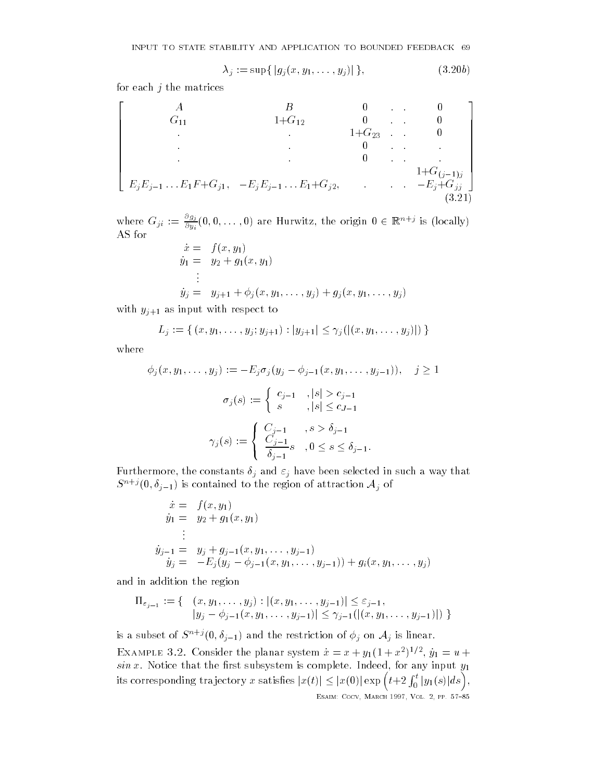$$
\lambda_j := \sup\{ |g_j(x, y_1, \dots, y_j)| \},\tag{3.20b}
$$

for each  $j$  the matrices

$$
\begin{bmatrix}\nA & B & 0 & 0 & 0 \\
G_{11} & 1+G_{12} & 0 & 0 & 0 \\
& \cdot & 1+G_{23} & 0 & 0 \\
& & 0 & \cdot & \cdot \\
& & & 0 & \cdot & \cdot \\
& & & & 0 & \cdot \\
& & & & & 1+G_{(j-1)j} \\
E_jE_{j-1} \dots E_1F + G_{j1}, -E_jE_{j-1} \dots E_1 + G_{j2}, & \cdot & -E_j + G_{jj} \\
& & & & & (3.21)\n\end{bmatrix}
$$

where  $G_{ji} := \frac{\pi}{\partial y_i}(0,0,\ldots,0)$  are Hurwitz, the origin  $0 \in \mathbb{R}^{n+j}$  is (locally) AS for  $\dot{r} = f(r, u_1)$ 

$$
\dot{x} = f(x, y_1) \n\dot{y}_1 = y_2 + g_1(x, y_1) \n\vdots \n\dot{y}_j = y_{j+1} + \phi_j(x, y_1, \dots, y_j) + g_j(x, y_1, \dots, y_j)
$$

with  $y_{j+1}$  as input with respect to

$$
L_j := \{ (x, y_1, \dots, y_j; y_{j+1}) : |y_{j+1}| \leq \gamma_j(|(x, y_1, \dots, y_j)|) \}
$$

where

$$
\phi_j(x, y_1, \dots, y_j) := -E_j \sigma_j(y_j - \phi_{j-1}(x, y_1, \dots, y_{j-1})), \quad j \ge 1
$$

$$
\sigma_j(s) := \begin{cases} c_{j-1} & , |s| > c_{j-1} \\ s & , |s| \le c_{J-1} \end{cases}
$$

$$
\gamma_j(s) := \begin{cases} C_{j-1} & , s > \delta_{j-1} \\ \frac{C_{j-1}}{\delta_{j-1}} s & , 0 \le s \le \delta_{j-1}. \end{cases}
$$

Furthermore, the constants in such and j have been selected in such and j have been such as  $\mu$  $S^{n+j}(\mathbf{0},\theta_{j-1})$  is contained to the region of attraction  $\mathcal{A}_j$  of

$$
\dot{x} = f(x, y_1) \n\dot{y}_1 = y_2 + g_1(x, y_1) \n\vdots \n\dot{y}_{j-1} = y_j + g_{j-1}(x, y_1, \dots, y_{j-1}) \n\dot{y}_j = -E_j(y_j - \phi_{j-1}(x, y_1, \dots, y_{j-1})) + g_i(x, y_1, \dots, y_j)
$$

and in addition the region

$$
\Pi_{\varepsilon_{j-1}} := \{ \begin{array}{c} (x, y_1, \ldots, y_j) : |(x, y_1, \ldots, y_{j-1})| \le \varepsilon_{j-1}, \\ |y_j - \phi_{j-1}(x, y_1, \ldots, y_{j-1})| \le \gamma_{j-1}(|(x, y_1, \ldots, y_{j-1})|) \end{array} \}
$$

is a subset of  $S^{n+1}(0,\theta_{j-1})$  and the restriction of  $\phi_{j}$  on  $\mathcal{A}_{j}$  is linear.

EXAMPLE 5.2. Consider the planar system  $x = x + y_1(1 + x^{-1})$ ,  $y_1 = u +$  $sin x$ . Notice that the first subsystem is complete. Indeed, for any input  $y_1$ its corresponding trajectory x satisfies  $|x(t)| \leq |x(0)| \exp \left( t + 2 \int_0^t |y| \right)$  $j_0^{\star t}\left|y_1(s)\right|ds\Big),$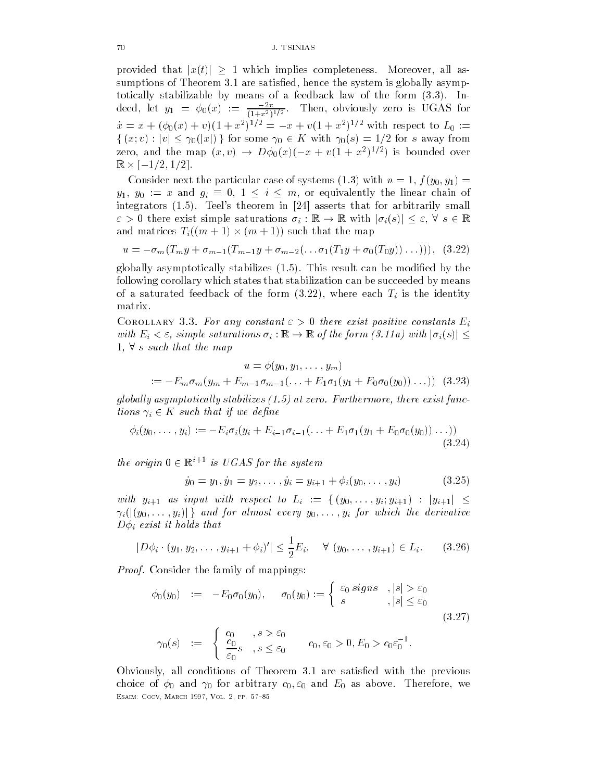provided that  $|x(t)| \geq 1$  which implies completeness. Moreover, all assumptions of Theorem 3.1 are satisfied, hence the system is globally asymptotically stabilizable by means of a feedback law of the form  $(3.3)$ . Indeed, let  $y_1 = \varphi_0(x) := \frac{1}{(1+x^2)^{1/2}}$ . Then obviously zero is UGAS for  $x = x + (\varphi_0(x) + v)(1 + x^{-})^{-1} = -x + v(1 + x^{-})^{-1}$  with respect to  $L_0 :=$  $\{(x, v) : |v| \leq \gamma_0(|x|)\}\$  for some  $\gamma_0 \in K$  with  $\gamma_0(s) = 1/2$  for s away from zero, and the map  $(x, v) \rightarrow D\varphi_0(x)(-x + v(1 + x^{-})^{-r})$  is bounded over ———————————————————

 $\begin{array}{ccc} \text{I} & \text{I} & \text{I} & \text{I} & \text{I} & \text{I} & \text{I} & \text{I} & \text{I} & \text{I} & \text{I} & \text{I} & \text{I} & \text{I} & \text{I} & \text{I} & \text{I} & \text{I} & \text{I} & \text{I} & \text{I} & \text{I} & \text{I} & \text{I} & \text{I} & \text{I} & \text{I} & \text{I} & \text{I} & \text{I} & \text{I} & \text{I} & \text{I} & \text{I} & \text{I} & \text{$  $y_1, y_0 := x$  and  $g_i \equiv 0, 1 \leq i \leq m$ , or equivalently the linear chain of integrators Teels theorem in asserts that for arbitrarily small there exist simple saturations is a structuration of the saturations in  $\mathbb{R}$  with  $j$  is  $\mathbb{R}$  . The structure of the structure of the structure of the structure of the structure of the structure of the structure o and matrices Tim  $\mathbf{r}$  that the map  $\mathbf{r}$ 

$$
u = -\sigma_m (T_m y + \sigma_{m-1} (T_{m-1} y + \sigma_{m-2} (\dots \sigma_1 (T_1 y + \sigma_0 (T_0 y)) \dots)))
$$
, (3.22)

globally asymptotically stabilizes  $(1.5)$ . This result can be modified by the following corollary which states that stabilization can be succeeded by means of a saturated feedback of the form  $\mathcal{N}$  is the identity of the identity is the identity of the identity is the identity of the identity of the identity of the identity of the identity of the identity of the identity matrix

COROLLARY 3.3. For any constant  $\varepsilon > 0$  there exist positive constants  $E_i$ with  $E_i$  , simple saturations is to a social control that if  $\mu$  and  $\mu$ s such that the map  $\mathcal{L}$  such that the map  $\mathcal{L}$ 

$$
u = \phi(y_0, y_1, \dots, y_m)
$$
  
 :=  $-E_m \sigma_m(y_m + E_{m-1} \sigma_{m-1}(\dots + E_1 \sigma_1(y_1 + E_0 \sigma_0(y_0))\dots))$  (3.23)

globally asymptotically stabilizes  $(1.5)$  at zero. Furthermore, there exist functions in the such that is not the such that is not the such that is not the such that is not the such that is n

$$
\phi_i(y_0,\ldots,y_i) := -E_i \sigma_i(y_i + E_{i-1} \sigma_{i-1}(\ldots + E_1 \sigma_1(y_1 + E_0 \sigma_0(y_0)) \ldots))
$$
\n(3.24)

the origin  $0 \in \mathbb{R}^{i+1}$  is UGAS for the system

$$
\dot{y}_0 = y_1, \dot{y}_1 = y_2, \dots, \dot{y}_i = y_{i+1} + \phi_i(y_0, \dots, y_i)
$$
\n(3.25)

with a straightform and  $\alpha$  intervals of  $\alpha$  in  $\alpha$  in  $\alpha$  in  $\alpha$  $\{y_i\}$  for almost every  $y_i$  for which the derivative derivative derivative construction of  $y_i$  $\mathbf{D}$  that it holds that it holds that it holds that it holds that it holds that it holds that it holds that it holds that it holds that it holds that it holds that it holds that it holds that it holds that it holds th

$$
|D\phi_i \cdot (y_1, y_2, \dots, y_{i+1} + \phi_i)'| \le \frac{1}{2} E_i, \quad \forall (y_0, \dots, y_{i+1}) \in L_i.
$$
 (3.26)

*Proof.* Consider the family of mappings:

$$
\begin{array}{rcl}\n\phi_0(y_0) & := & -E_0 \sigma_0(y_0), \quad \sigma_0(y_0) := \left\{ \begin{array}{ll} \varepsilon_0 \operatorname{sign} s & , |s| > \varepsilon_0 \\ \varepsilon & , |s| \leq \varepsilon_0 \end{array} \right. \\
\gamma_0(s) & := & \begin{cases}\n\frac{c_0}{c_0} & , s > \varepsilon_0 \\
\frac{c_0}{\varepsilon_0} s & , s \leq \varepsilon_0\n\end{cases} \quad c_0, \varepsilon_0 > 0, E_0 > c_0 \varepsilon_0^{-1}.\n\end{array}\n\tag{3.27}
$$

Obviously, all conditions of Theorem 3.1 are satisfied with the previous choice of  $\mu$  and  $\mu$  are extended to  $\mu$  and  $\mu$  are the static model of and  $\mu$  as above Therefore ———————————————————————————————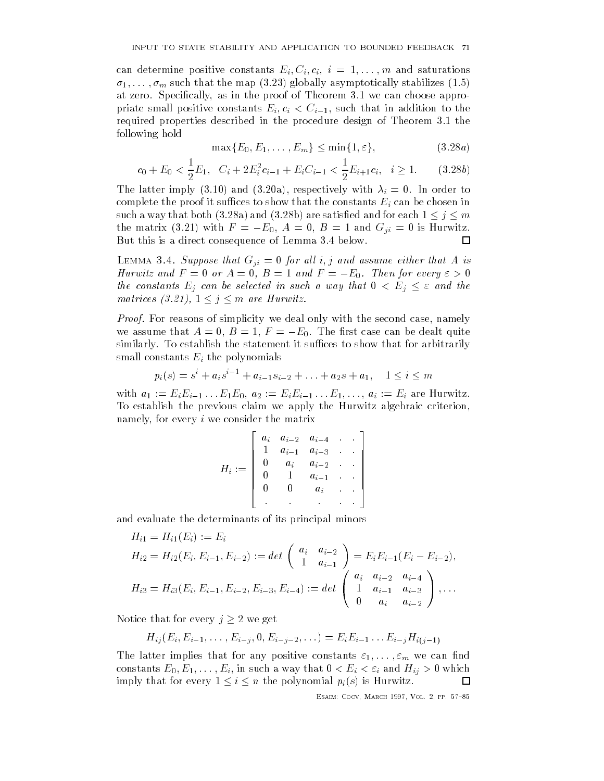can determine positive constants  $\ell_1 = \ell_2$  i and saturations  $\ell_1$ - -m such that the map globally asymptotically stabilizes at zero. Specifically, as in the proof of Theorem 3.1 we can choose approprimate small positive constants  $\psi$  ,  $\psi$  , that is addition to the constant of  $\psi$  and  $\psi$  addition to the constant of  $\psi$  and  $\psi$  and  $\psi$  and  $\psi$  and  $\psi$  and  $\psi$  and  $\psi$  and  $\psi$  and  $\psi$  and  $\psi$  and  $\psi$  a required properties described in the procedure design of Theorem 3.1 the following hold

$$
\max\{E_0, E_1, \dots, E_m\} \le \min\{1, \varepsilon\},\tag{3.28a}
$$

$$
c_0 + E_0 < \frac{1}{2} E_1, \quad C_i + 2E_i^2 c_{i-1} + E_i C_{i-1} < \frac{1}{2} E_{i+1} c_i, \quad i \ge 1. \tag{3.28b}
$$

The latter in the latter is a respectively with intervals of  $\mathcal{U}$  and  $\mathcal{U}$ complete the proof it such that the proof it such that the constants Ei can be constants Ei can be chosen in the constant of the constants Ei can be constant of the constant of the constant of the constant of the constant such a way that both (3.28a) and (3.28b) are satisfied and for each  $1 \leq j \leq m$ the matrix (3.21) with  $F = -E_0$ ,  $A = 0$ ,  $B = 1$  and  $G_{ii} = 0$  is Hurwitz. But this is a direct consequence of Lemma 3.4 below.  $\Box$ 

 $\blacksquare$ Hurwitz and  $F = 0$  or  $A = 0$ ,  $B = 1$  and  $F = -E_0$ . Then for every  $\varepsilon > 0$ the constants Eq constants Eq can be selected in such a way that  $\mathcal{L} = \mathcal{L}$ matrices (3.21),  $1 \leq j \leq m$  are Hurwitz.

*Proof.* For reasons of simplicity we deal only with the second case, namely we assume that  $A=0, B=1, F=-E_0.$  The first case can be dealt quite similarly. To establish the statement it suffices to show that for arbitrarily small constants Ei the polynomials

$$
p_i(s) = s^i + a_i s^{i-1} + a_{i-1} s_{i-2} + \ldots + a_2 s + a_1, \quad 1 \le i \le m
$$

 $\mathbf{E}$  and a  $\mathbf{E}$  are  $\mathbf{E}$  and  $\mathbf{E}$  are  $\mathbf{E}$  . The  $\mathbf{E}$ To establish the previous claim we apply the Hurwitz algebraic criterion namely, for every  $i$  we consider the matrix

$$
H_i := \left[\begin{array}{ccccc} a_i & a_{i-2} & a_{i-4} & \cdot & \cdot \\ 1 & a_{i-1} & a_{i-3} & \cdot & \cdot \\ 0 & a_i & a_{i-2} & \cdot & \cdot \\ 0 & 1 & a_{i-1} & \cdot & \cdot \\ 0 & 0 & a_i & \cdot & \cdot \\ \cdot & \cdot & \cdot & \cdot & \cdot \end{array}\right]
$$

and evaluate the determinants of its principal minors

$$
H_{i1} = H_{i1}(E_i) := E_i
$$
  
\n
$$
H_{i2} = H_{i2}(E_i, E_{i-1}, E_{i-2}) := det\begin{pmatrix} a_i & a_{i-2} \ 1 & a_{i-1} \end{pmatrix} = E_i E_{i-1}(E_i - E_{i-2}),
$$
  
\n
$$
H_{i3} = H_{i3}(E_i, E_{i-1}, E_{i-2}, E_{i-3}, E_{i-4}) := det\begin{pmatrix} a_i & a_{i-2} & a_{i-4} \ 1 & a_{i-1} & a_{i-3} \ 0 & a_i & a_{i-2} \end{pmatrix}, \dots
$$

Notice that for every  $j\geq 2$  we get

$$
H_{ij}(E_i, E_{i-1}, \ldots, E_{i-j}, 0, E_{i-j-2}, \ldots) = E_i E_{i-1} \ldots E_{i-j} H_{i(j-1)}
$$

The latter implies that for any positive constants  $\mathcal{I}_1$  is the constants of  $\mathcal{I}_2$ constants E-matrix E-matrix E-matrix E-matrix E-matrix E-matrix E-matrix E-matrix E-matrix E-matrix E-matrix Eimply that for every  $1 \leq i \leq n$  the polynomial  $p_i(s)$  is Hurwitz. □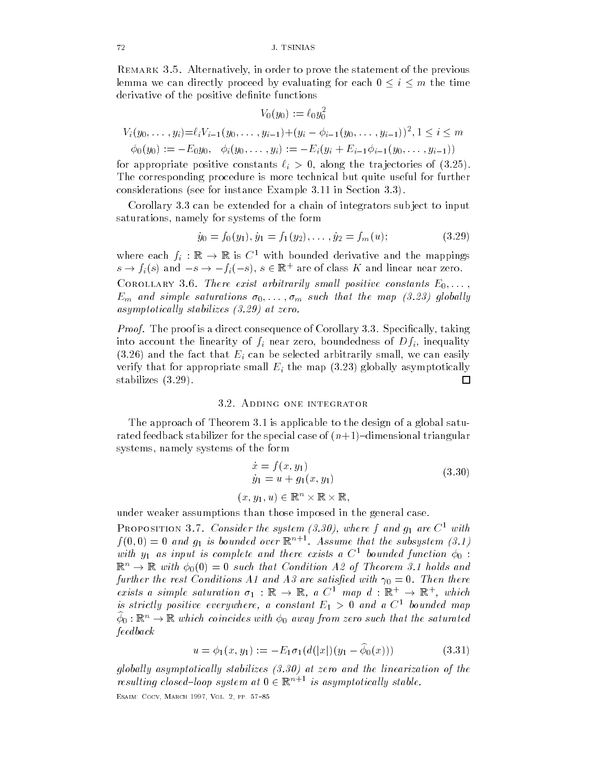REMARK 3.5. Alternatively, in order to prove the statement of the previous lemma we can directly proceed by evaluating for each  $0 \le i \le m$  the time derivative of the positive definite functions

$$
V_0(y_0) := \ell_0 y_0^2
$$
  
\n
$$
V_i(y_0, \ldots, y_i) = \ell_i V_{i-1}(y_0, \ldots, y_{i-1}) + (y_i - \phi_{i-1}(y_0, \ldots, y_{i-1}))^2, 1 \le i \le m
$$
  
\n
$$
\phi_0(y_0) := -E_0 y_0, \quad \phi_i(y_0, \ldots, y_i) := -E_i(y_i + E_{i-1}\phi_{i-1}(y_0, \ldots, y_{i-1}))
$$

for a positive constants in the transition of the transition of  $\alpha$  is a constant of the transition of the transition of the transition of the transition of the transition of the transition of the transition of the trans The corresponding procedure is more technical but quite useful for further considerations (see for instance Example  $3.11$  in Section  $3.3$ ).

Corollary 3.3 can be extended for a chain of integrators subject to input saturations namely for systems of the form

$$
\dot{y}_0 = f_0(y_1), \dot{y}_1 = f_1(y_2), \dots, \dot{y}_2 = f_m(u); \tag{3.29}
$$

where each  $f_i : \mathbb{R} \to \mathbb{R}$  is C with bounded derivative and the mappings  $s \to f_i(s)$  and  $-s \to -f_i(-s)$ ,  $s \in \mathbb{R}^+$  are of class  $K$  and linear near zero.

 $\mathcal I$  there exists arbitrarily small positive constants  $\mathcal I$  . There exists E-M  $\mathcal I$  $\begin{array}{ccc} \text{if} & \text{if} & \text{if} & \text{if} & \text{if} & \text{if} & \text{if} & \text{if} & \text{if} & \text{if} & \text{if} & \text{if} & \text{if} & \text{if} & \text{if} & \text{if} & \text{if} & \text{if} & \text{if} & \text{if} & \text{if} & \text{if} & \text{if} & \text{if} & \text{if} & \text{if} & \text{if} & \text{if} & \text{if} & \text{if} & \text{if} & \text{if} & \text{if} & \text{if} & \text{if} & \text{$ asymptotically stabilizes  $(3.29)$  at zero.

*Proof.* The proof is a direct consequence of Corollary 3.3. Specifically, taking into a count the linearity of fine  $\mathcal{U}$  is a counterpart of  $\mathcal{U}$  in the counterpart of Dfinite and Dfinite and Dfinite and Dfinite and Dfinite and Dfinite and Dfinite and Dfinite and Dfinite and Dfinite and Dfinit and the fact that Einstein be selected arbitrarily small small small small small small small small small small verify that for appropriate small Ei the map globally asymptotically stabilizes (3.29). 囗

#### 3.2. ADDING ONE INTEGRATOR

The approach of Theorem 3.1 is applicable to the design of a global saturated feedback stabilizer for the special case of  $(n+1)$ -dimensional triangular systems namely systems of the form

$$
\begin{aligned}\n\dot{x} &= f(x, y_1) \\
\dot{y}_1 &= u + g_1(x, y_1) \\
(x, y_1, u) &\in \mathbb{R}^n \times \mathbb{R} \times \mathbb{R},\n\end{aligned} \tag{3.30}
$$

under weaker assumptions than those imposed in the general case

**FROPOSITION 5.1. Consider the system (5.50), where f and g1 are C** with  $f(\theta, \theta) = \theta$  and  $g_1$  is bounded over  $\mathbb{R}^{n+1}$ . Assume that the subsystem (3.1) with  $y_1$  as input is complete and there exists a  $C^1$  bounded function  $\phi_0$ :  $\mathbb{R}^n \to \mathbb{R}$  with  $\phi_0(0) = 0$  such that Condition A2 of Theorem 3.1 holds and further the rest Conditions A and A
 are satis-ed with Then there exists a simple saturation  $\sigma_1$  :  $\mathbb{R} \to \mathbb{R}$ , a  $C^{\perp}$  map  $a : \mathbb{R}^{\perp} \to \mathbb{R}^{\perp}$ , which is strictly positive everywhere, a constant  $E_1 > 0$  and a  $C^1$  bounded map  $\varphi_0: \mathbb{R}^n \rightarrow \mathbb{R}$  which coincides with  $\varphi_0$  away from zero such that the saturated feedback

$$
u = \phi_1(x, y_1) := -E_1 \sigma_1(d(|x|)(y_1 - \phi_0(x))) \tag{3.31}
$$

globally asymptotically stabilizes  $(3.30)$  at zero and the linearization of the resulting closed-loop system at  $0 \in \mathbb{R}^{n+1}$  is asymptotically stable.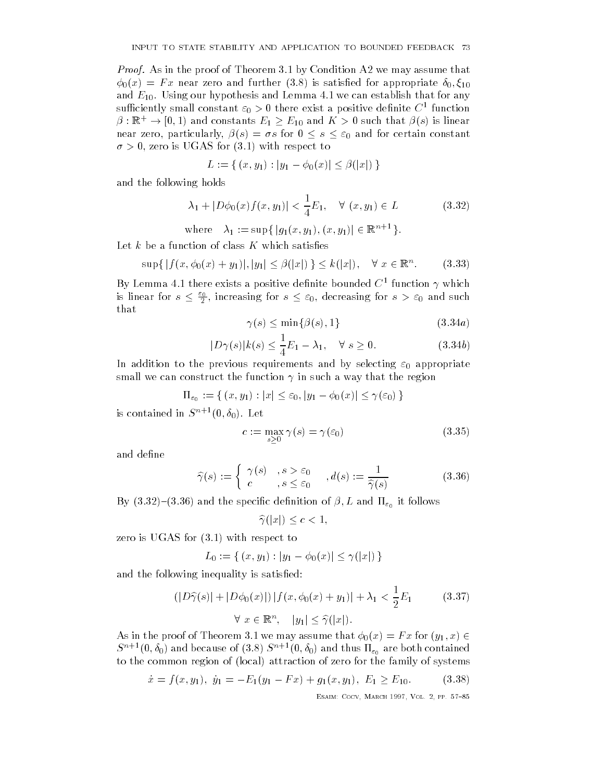*Proof.* As in the proof of Theorem 3.1 by Condition A2 we may assume that  $\lambda$  and further and further in the function of  $\lambda$  and  $\lambda$  appropriate for a propriate for a propriate for a point  $\lambda$ and  $E_{10}$ . Using our hypothesis and Lemma 4.1 we can establish that for any sumciently small constant  $\varepsilon_0 > 0$  there exist a positive dennite  $C$  -function  $\rho: \mathbb{R}^+ \to [0,1)$  and constants  $E_1 \geq E_{10}$  and  $K \geq 0$  such that  $\rho(s)$  is imear near zero, particularly,  $\beta(s) = \sigma s$  for  $0 \leq s \leq \varepsilon_0$  and for certain constant  $\sigma > 0$ , zero is UGAS for (3.1) with respect to

$$
L := \{ (x, y_1) : |y_1 - \phi_0(x)| \le \beta(|x|) \}
$$

and the following holds

$$
\lambda_1 + |D\phi_0(x)f(x, y_1)| < \frac{1}{4}E_1, \quad \forall (x, y_1) \in L \tag{3.32}
$$

where  $\lambda_1 := \sup \{ |g_1(x, y_1), (x, y_1)| \in \mathbb{K}^{n+1} \}.$ 

Let  $k$  be a function of class  $K$  which satisfies

$$
\sup\{|f(x,\phi_0(x)+y_1)|,|y_1|\leq \beta(|x|)\}\leq k(|x|), \quad \forall \ x\in \mathbb{R}^n. \tag{3.33}
$$

By Lemma 4.1 there exists a positive definite bounded  $C^1$  function  $\gamma$  which is linear for  $s \leq \frac{\varepsilon_0}{2}$ , increasing for  $s \leq \varepsilon_0$ , decreasing for  $s > \varepsilon_0$  and such that

$$
\gamma(s) \le \min\{\beta(s), 1\} \tag{3.34a}
$$

$$
|D\gamma(s)|k(s) \le \frac{1}{4}E_1 - \lambda_1, \quad \forall \ s \ge 0. \tag{3.34b}
$$

In addition to the previous requirements and by selecting  $\varepsilon_0$  appropriate small we can construct the function  $\gamma$  in such a way that the region

 $\begin{pmatrix} 1 & 0 & 0 \\ 0 & 1 & 0 \end{pmatrix}$  ,  $\begin{pmatrix} 1 & 0 & 0 \\ 0 & 1 & 0 \end{pmatrix}$  ,  $\begin{pmatrix} 1 & 0 & 0 \\ 0 & 1 & 0 \end{pmatrix}$  ,  $\begin{pmatrix} 1 & 0 & 0 \\ 0 & 1 & 0 \end{pmatrix}$ 

is contained in  $S^{++}(0, \theta_0)$ . Let  $-$ 

$$
c := \max_{s \ge 0} \gamma(s) = \gamma(\varepsilon_0)
$$
\n(3.35)

and define

$$
\widehat{\gamma}(s) := \begin{cases} \gamma(s) & , s > \varepsilon_0 \\ c & , s \le \varepsilon_0 \end{cases}, d(s) := \frac{1}{\widehat{\gamma}(s)} \tag{3.36}
$$

 $\mathcal{S}$  and  $\mathcal{S}$  and  $\mathcal{S}$  and  $\mathcal{S}$  and  $\mathcal{S}$  and  $\mathcal{S}$  and  $\mathcal{S}$  and  $\mathcal{S}$  and  $\mathcal{S}$  are  $\mathcal{S}$  and  $\mathcal{S}$  are  $\mathcal{S}$  and  $\mathcal{S}$  are  $\mathcal{S}$  and  $\mathcal{S}$  are  $\mathcal{S}$  and  $\mathcal{S}$  are

 $\widehat{\gamma}(|x|) \leq c < 1,$ 

zero is UGAS for  $(3.1)$  with respect to

$$
L_0 := \{ (x, y_1) : |y_1 - \phi_0(x)| \le \gamma(|x|) \}
$$

and the following inequality is satisfied:

$$
(|D\widehat{\gamma}(s)| + |D\phi_0(x)|) |f(x, \phi_0(x) + y_1)| + \lambda_1 < \frac{1}{2}E_1 \tag{3.37}
$$
\n
$$
\forall \ x \in \mathbb{R}^n, \quad |y_1| \le \widehat{\gamma}(|x|).
$$

As in the proof of Theorem is the string maximum that  $\mathcal{I}(\mathsf{V}^n)$  , where  $\mathsf{V}^n$  $S^{n+1}(0,\theta_0)$  and because of  $(3.8)$   $S^{n+1}(0,\theta_0)$  and thus  $\Pi_{\varepsilon_0}$  are both contained to the common region of (local) attraction of zero for the family of systems

$$
\dot{x} = f(x, y_1), \ \dot{y}_1 = -E_1(y_1 - Fx) + g_1(x, y_1), \ E_1 \ge E_{10}.
$$
 (3.38)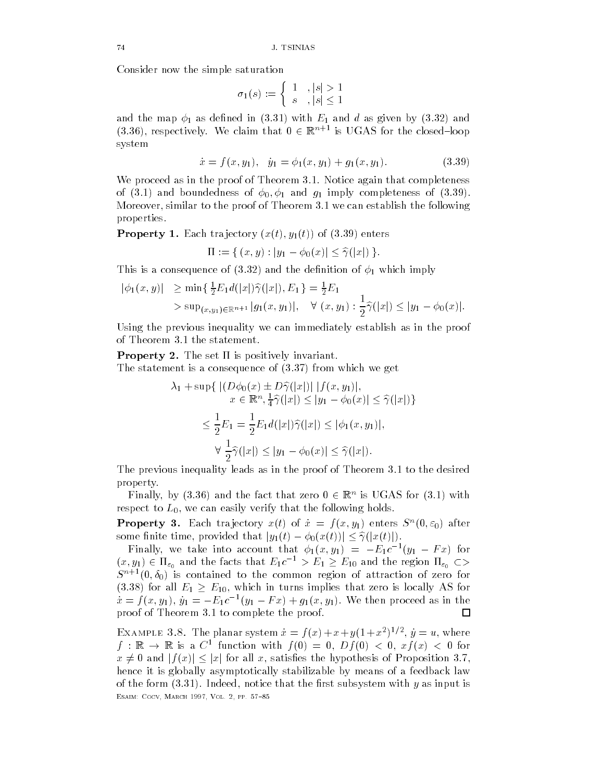Consider now the simple saturation

$$
\sigma_1(s) := \left\{ \begin{array}{ll} 1 & , |s| > 1 \\ s & , |s| \le 1 \end{array} \right.
$$

and the map  $\phi_1$  as defined in (3.31) with  $E_1$  and  $d$  as given by (3.32) and  $(3.36)$ , respectively. We claim that  $0 \in \mathbb{R}^{n+1}$  is UGAS for the closed-loop system

$$
\dot{x} = f(x, y_1), \quad \dot{y}_1 = \phi_1(x, y_1) + g_1(x, y_1). \tag{3.39}
$$

We proceed as in the proof of Theorem 3.1. Notice again that completeness of and boundedness of  $J$  in the set of  $J$  in the  $J$  in the  $J$  in the  $J$  in the  $J$  in the  $J$  in the  $J$  in the  $J$  in the  $J$  in the  $J$  in the  $J$  in the  $J$  in the  $J$  in the  $J$  in the  $J$  in the  $J$  in the  $J$  i Moreover, similar to the proof of Theorem  $3.1$  we can establish the following properties

Property and the state of the state of the state of the state of the state of the state of the state of the st

$$
\Pi := \{ (x, y) : |y_1 - \phi_0(x)| \le \hat{\gamma}(|x|) \}.
$$

This is a consequence of (3.32) and the definition of  $\phi_1$  which imply

$$
|\phi_1(x, y)| \ge \min\left\{ \frac{1}{2} E_1 d(|x|) \hat{\gamma}(|x|), E_1 \right\} = \frac{1}{2} E_1
$$
  
>  $\sup_{(x, y_1) \in \mathbb{R}^{n+1}} |g_1(x, y_1)|, \quad \forall (x, y_1) : \frac{1}{2} \hat{\gamma}(|x|) \le |y_1 - \phi_0(x)|.$ 

Using the previous inequality we can immediately establish as in the proof of Theorem 3.1 the statement.

Property - The set is positively invariant

The statement is a consequence of  $(3.37)$  from which we get

$$
\lambda_1 + \sup \{ \left| (D\phi_0(x) \pm D\widehat{\gamma}(|x|) | |f(x, y_1)|, \ x \in \mathbb{R}^n, \frac{1}{4}\widehat{\gamma}(|x|) \le |y_1 - \phi_0(x)| \le \widehat{\gamma}(|x|) \} \right|
$$
  

$$
\le \frac{1}{2}E_1 = \frac{1}{2}E_1 d(|x|)\widehat{\gamma}(|x|) \le |\phi_1(x, y_1)|,
$$
  

$$
\forall \frac{1}{2}\widehat{\gamma}(|x|) \le |y_1 - \phi_0(x)| \le \widehat{\gamma}(|x|).
$$

The previous inequality leads as in the proof of Theorem 3.1 to the desired property

Finally, by (3.30) and the fact that zero  $0\in\mathbb{R}^+$  is UGAS for (3.1) with respect to  $L_0$ , we can easily verify that the following holds.

**Property 3.** Each trajectory  $x(t)$  of  $x = f(x, y_1)$  enters  $S^-(0, \varepsilon_0)$  after some finite time, provided that  $|y_1(t) - \phi_0(x(t))| \leq \hat{\gamma}(|x(t)|)$ .

Finally, we take into account that  $\varphi_1(x,y_1) = -E_1 e^{-\tau} (y_1 - F x)$  for  $(x,y_1)\in \Pi_{\varepsilon_0}$  and the facts that  $E_1c^{-1}>E_1\geq E_{10}$  and the region  $\Pi_{\varepsilon_0}\subset\varphi$  $S^{n+1}(0,\theta_0)$  is contained to the common region of attraction of zero for (3.38) for all  $E_1 \ge E_{10}$ , which in turns implies that zero is locally AS for  $x = f(x, y_1), y_1 = -E_1c^{-1}(y_1 - Fx) + g_1(x, y_1)$ , we then proceed as in the proof of Theorem  $3.1$  to complete the proof.  $\Box$ 

EXAMPLE 3.8. The planar system  $x = f(x) + x + y(1 + x^{-1})$ ,  $y = u$ , where  $j: \mathbb{R} \to \mathbb{R}$  is a C function with  $j(v) = 0$ ,  $Dj(v) < 0$ ,  $xj(x) < 0$  for  $x \neq 0$  and  $|f(x)| \leq |x|$  for all x, satisfies the hypothesis of Proposition 3.7, hence it is globally asymptotically stabilizable by means of a feedback law of the form  $(3.31)$ . Indeed, notice that the first subsystem with y as input is ———————————————————————————————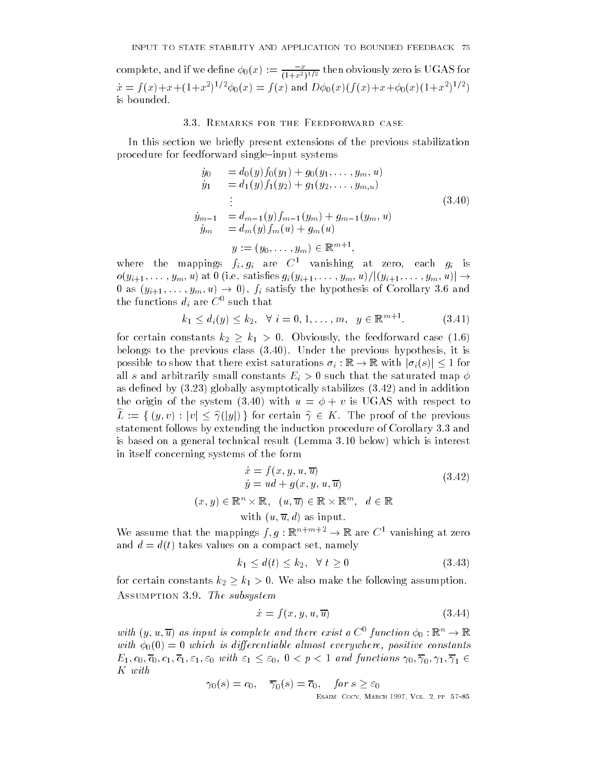complete, and if we define  $\varphi_0(x) := \frac{1}{(1+x^2)^{1/2}}$  then obviously zero is UGAS for  $x = f(x) + x + (1 + x^{-})^{-1} \varphi_0(x) = f(x)$  and  $D\varphi_0(x) + f(x) + x + \varphi_0(x) + (1 + x^{-})^{-1}$ is bounded

#### 3.3. REMARKS FOR THE FEEDFORWARD CASE

In this section we briefly present extensions of the previous stabilization procedure for feedforward single–input systems

$$
\dot{y}_0 = d_0(y) f_0(y_1) + g_0(y_1, \dots, y_m, u) \n\dot{y}_1 = d_1(y) f_1(y_2) + g_1(y_2, \dots, y_{m,u}) \n\vdots \n\dot{y}_{m-1} = d_{m-1}(y) f_{m-1}(y_m) + g_{m-1}(y_m, u) \n\dot{y}_m = d_m(y) f_m(u) + g_m(u) \n\dot{y} := (y_0, \dots, y_m) \in \mathbb{R}^{m+1},
$$
\n(3.40)

where the mappings  $f_i, g_i$  are  $C$  vanishing at zero, each  $g_i$  is  $J_{\ell}(y) = \frac{1}{2} \frac{1}{2} \frac{1}{2} \frac{1}{2} \frac{1}{2} \frac{1}{2} \frac{1}{2} \frac{1}{2} \frac{1}{2} \frac{1}{2} \frac{1}{2} \frac{1}{2} \frac{1}{2} \frac{1}{2} \frac{1}{2} \frac{1}{2} \frac{1}{2} \frac{1}{2} \frac{1}{2} \frac{1}{2} \frac{1}{2} \frac{1}{2} \frac{1}{2} \frac{1}{2} \frac{1}{2} \frac{1}{2} \frac{1}{2} \frac{1}{2} \frac{1}{2} \frac{1}{2} \frac$  $\overline{z}$  (y)  $\overline{y}$  -  $\overline{y}$  -  $\overline{y}$  -  $\overline{y}$  -  $\overline{y}$  -  $\overline{y}$  -  $\overline{y}$  -  $\overline{y}$  -  $\overline{y}$  -  $\overline{y}$  -  $\overline{y}$  -  $\overline{y}$  -  $\overline{y}$  -  $\overline{y}$  -  $\overline{y}$  -  $\overline{y}$  -  $\overline{y}$  -  $\overline{y}$  -  $\overline{y}$  the functions  $a_i$  are  $\cup$  such that

$$
k_1 \le d_i(y) \le k_2, \ \ \forall \ i = 0, 1, \dots, m, \ \ y \in \mathbb{R}^{m+1}.
$$
 (3.41)

for certain constants  $k_2 \geq k_1 > 0$ . Obviously, the feedforward case (1.6) belongs to the previous class  $(3.40)$ . Under the previous hypothesis, it is possible to show that there exist saturations is that the show that the saturations is a structure of  $\mathbb{R}$ all s and arbitrarily small constants Ei  $\mathbb{R}$  . That the saturated map  $\mathbb{R}$  is uncertainty small constants that the saturated map  $\mathbb{R}$  is uncertainty small constants that the saturated map  $\mathbb{R}$  is uncertai as defined by  $(3.23)$  globally asymptotically stabilizes  $(3.42)$  and in addition the origin of the system (3.40) with  $u = \phi + v$  is UGAS with respect to  $L := \{y, v\}$ ,  $|v| \ge f(|y|)$  for certain  $y \in K$ . The proof of the previous statement follows by extending the induction procedure of Corollary 3.3 and is based on a general technical result (Lemma  $3.10$  below) which is interest in itself concerning systems of the form

$$
\dot{x} = f(x, y, u, \overline{u})
$$
  
\n
$$
\dot{y} = ud + g(x, y, u, \overline{u})
$$
  
\n
$$
(x, y) \in \mathbb{R}^n \times \mathbb{R}, \quad (u, \overline{u}) \in \mathbb{R} \times \mathbb{R}^m, \quad d \in \mathbb{R}
$$
  
\nwith  $(u, \overline{u}, d)$  as input. (3.42)

We assume that the mappings  $f, g : \mathbb{R}^n \to \mathbb{R}$  are  $C^-$  vanishing at zero and  $d = d(t)$  takes values on a compact set, namely

$$
k_1 \le d(t) \le k_2, \quad \forall \ t \ge 0 \tag{3.43}
$$

for certain constants  $k_2 \geq k_1 > 0.$  We also make the following assumption. ASSUMPTION 3.9. The subsystem

$$
\dot{x} = f(x, y, u, \overline{u})\tag{3.44}
$$

with  $(y, u, u)$  as input is complete and there exist a  $C^*$  function  $\varphi_0 : \mathbb{R}^n \to \mathbb{R}$ with  $\phi_0(0) = 0$  which is differentiable almost everywhere, positive constants  $\frac{1}{2}$  (v) (v)  $\frac{1}{2}$  (i)  $\frac{1}{2}$  (v)  $\frac{1}{2}$  (v) (v)  $\frac{1}{2}$  (ii)  $\frac{1}{2}$  (iii)  $\frac{1}{2}$  (iii)  $\frac{1}{2}$  (iii)  $\frac{1}{2}$  (iii)  $\frac{1}{2}$  (iii)  $\frac{1}{2}$  (iii)  $\frac{1}{2}$  (iii)  $\frac{1}{2}$  (iii)  $\frac{1}{2}$  (iii K with

$$
\gamma_0(s) = c_0, \quad \overline{\gamma}_0(s) = \overline{c}_0, \quad \text{for } s \ge \varepsilon_0
$$
  
ESAIM: Cocy, March 1997, Vol. 2, pp. 57-85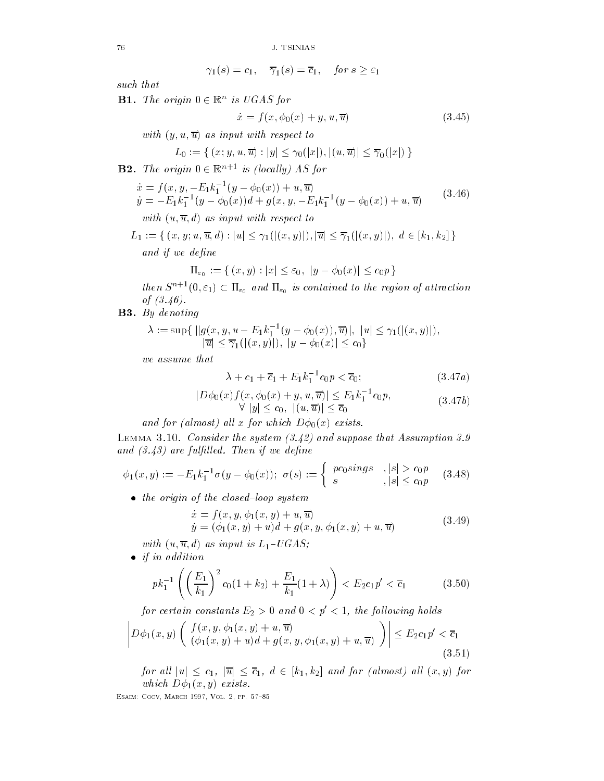$$
\gamma_1(s) = c_1, \quad \overline{\gamma}_1(s) = \overline{c}_1, \quad \text{for } s \ge \varepsilon_1
$$

such that

**B1.** The origin  $0 \in \mathbb{R}^n$  is UGAS for

ź

$$
\dot{x} = f(x, \phi_0(x) + y, u, \overline{u})\tag{3.45}
$$

with y-values and the contract to the contract to the contract of the contract of the contract of the contract of the contract of the contract of the contract of the contract of the contract of the contract of the contract

$$
L_0 := \{ (x; y, u, \overline{u}) : |y| \leq \gamma_0(|x|), |(u, \overline{u})| \leq \overline{\gamma}_0(|x|) \}
$$

 $\mathbf{D2.}$  The origin  $0 \in \mathbb{R}$  is flocatly AS for

$$
\begin{aligned}\n\dot{x} &= f(x, y, -E_1 k_1^{-1} (y - \phi_0(x)) + u, \overline{u}) \\
\dot{y} &= -E_1 k_1^{-1} (y - \phi_0(x)) d + g(x, y, -E_1 k_1^{-1} (y - \phi_0(x)) + u, \overline{u}) \\
\text{with } (u, \overline{u}, d) \text{ as input with respect to}\n\end{aligned} \tag{3.46}
$$

L fx- y u- u- d juj jx- yj- juj jx- yj- d k- k <sup>g</sup> and if we define the control of the control of the control of the control of the control of the control of the

$$
\Pi_{\varepsilon_0} := \{ (x, y) : |x| \le \varepsilon_0, \ |y - \phi_0(x)| \le c_0 p \}
$$

then  $S^{n+1}(0,\varepsilon_1) \subset \Pi_{\varepsilon_0}$  and  $\Pi_{\varepsilon_0}$  is contained to the region of attraction of  $(3.46)$ .

B- By denoting

$$
\lambda := \sup \{ ||g(x, y, u - E_1 k_1^{-1} (y - \phi_0(x)), \overline{u})|, |u| \leq \gamma_1(|(x, y)|),
$$
  

$$
|\overline{u}| \leq \overline{\gamma}_1(|(x, y)|), |y - \phi_0(x)| \leq c_0 \}
$$

we assume that

$$
\lambda + c_1 + \overline{c}_1 + E_1 k_1^{-1} c_0 p < \overline{c}_0; \tag{3.47a}
$$

$$
|D\phi_0(x)f(x,\phi_0(x)+y,u,\overline{u})| \le E_1k_1^{-1}c_0p,
$$
  
\n
$$
\forall |y| \le c_0, |(u,\overline{u})| \le \overline{c_0}
$$
\n(3.47b)

and for (almost) all x for which  $D\phi_0(x)$  exists.

and the state of the suppose the system is the suppose the state which the state of the state of the state of t and the full-contract and in the full-contract of the full-contract of the full-contract of the full-contract o

$$
\phi_1(x,y) := -E_1 k_1^{-1} \sigma(y - \phi_0(x)); \ \sigma(s) := \left\{ \begin{array}{ll} p c_0 s i n g s & , |s| > c_0 p \\ s & , |s| \le c_0 p \end{array} \right. (3.48)
$$

 $\bullet$  the origin of the closed-loop system

$$
\begin{aligned} \dot{x} &= f(x, y, \phi_1(x, y) + u, \overline{u}) \\ \dot{y} &= (\phi_1(x, y) + u)d + g(x, y, \phi_1(x, y) + u, \overline{u}) \end{aligned} \tag{3.49}
$$

with u-g as input is  $-1$  consequently

 $\bullet$  if in addition

$$
pk_1^{-1}\left(\left(\frac{E_1}{k_1}\right)^2 c_0(1+k_2) + \frac{E_1}{k_1}(1+\lambda)\right) < E_2 c_1 p' < \overline{c}_1 \tag{3.50}
$$

for certain constants  $E_2 > 0$  and  $0 < p' < 1$ , the following holds

$$
\left| D\phi_1(x,y) \left( \begin{array}{c} f(x,y,\phi_1(x,y) + u, \overline{u}) \\ (\phi_1(x,y) + u) d + g(x,y,\phi_1(x,y) + u, \overline{u}) \end{array} \right) \right| \le E_2 c_1 p' < \overline{c}_1
$$
\n(3.51)

ابن المال العام القالية التاريخية المستقبل المستقبل المستقبل المستقبل المستقبل المستقبل المستقبل المستقبل المس which distribution  $\mathbf{y} \cdot \mathbf{z}$  (i.e.,  $\mathbf{y} \cdot \mathbf{z}$ ) and the set of  $\mathbf{y}$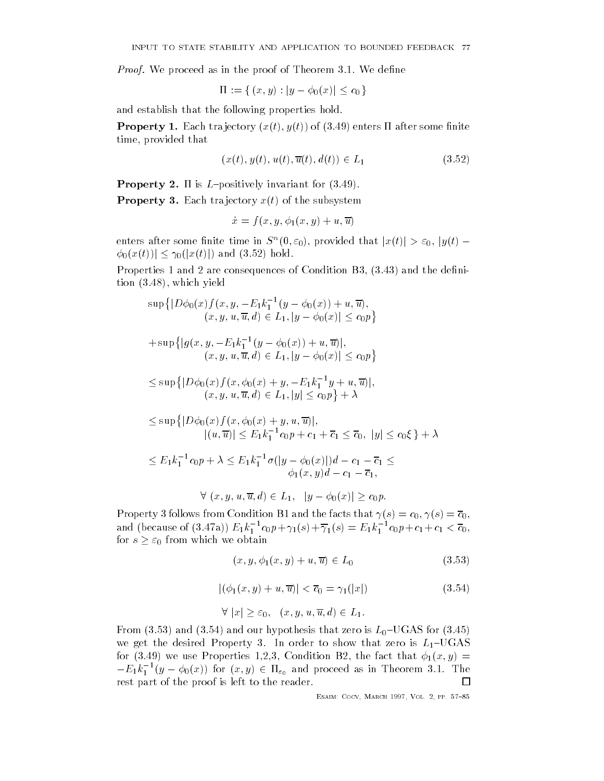Proof We proceed as in the proof of Theorem We dene

$$
\Pi := \{ (x, y) : |y - \phi_0(x)| \le c_0 \}
$$

and establish that the following properties hold

Property - Each tra jectory xt- yt of enters after some nite time provided that

$$
(x(t), y(t), u(t), \overline{u}(t), d(t)) \in L_1
$$
\n
$$
(3.52)
$$

Property - is Lpositively invariant for

Property - Each tra jectory xt of the subsystem

$$
\dot{x} = f(x, y, \phi_1(x, y) + u, \overline{u})
$$

enters after some finite time in  $S^{\sim}(0,\varepsilon_0)$ , provided that  $|x(t)| > \varepsilon_0, \, |y(t)| = 1$  $\phi_0(x(t)) \leq \gamma_0(|x(t)|)$  and (3.52) hold.

Properties 1 and 2 are consequences of Condition B3,  $(3.43)$  and the defini- $\frac{1}{3.48}$ , which yield

$$
\sup\{|D\phi_0(x)f(x,y,-E_1k_1^{-1}(y-\phi_0(x))+u,\overline{u}),(x,y,u,\overline{u},d)\in L_1, |y-\phi_0(x)|\leq c_0p\}+\sup\{|g(x,y,-E_1k_1^{-1}(y-\phi_0(x))+u,\overline{u})|,(x,y,u,\overline{u},d)\in L_1, |y-\phi_0(x)|\leq c_0p\}\leq \sup\{|D\phi_0(x)f(x,\phi_0(x)+y,-E_1k_1^{-1}y+u,\overline{u})|,(x,y,u,\overline{u},d)\in L_1, |y|\leq c_0p\}+\lambda\leq \sup\{|D\phi_0(x)f(x,\phi_0(x)+y,u,\overline{u})|,|(u,\overline{u})|\leq E_1k_1^{-1}c_0p+c_1+\overline{c}_1\leq \overline{c}_0, |y|\leq c_0\xi\}+\lambda\leq E_1k_1^{-1}c_0p+\lambda\leq E_1k_1^{-1}\sigma(|y-\phi_0(x)|)d-c_1-\overline{c}_1\leq
$$
  
 $\phi_1(x,y)d-c_1-\overline{c}_1,$   
 $\forall (x,y,u,\overline{u},d)\in L_1, |y-\phi_0(x)|\geq c_0p.$ 

Property follows from Condition B and the facts that s c- s c and (because of (3.4*(a))*  $E_1 k_1$   $c_0 p + \gamma_1(s) + \gamma_1(s) = E_1 k_1$   $c_0 p + c_1 + c_1 < c_0,$ for  $s \geq \varepsilon_0$  from which we obtain

$$
(x, y, \phi_1(x, y) + u, \overline{u}) \in L_0 \tag{3.53}
$$

$$
|(\phi_1(x, y) + u, \overline{u})| < \overline{c}_0 = \gamma_1(|x|) \tag{3.54}
$$

$$
\forall |x| \ge \varepsilon_0, \quad (x, y, u, \overline{u}, d) \in L_1.
$$

From (3.53) and (3.54) and our hypothesis that zero is  $L_0$ –UGAS for (3.45) we get the desired Property 3. In order to show that zero is  $L_1$ -UGAS  $\mathcal{N}$  is the form of the fact that  $\mathcal{N}$  is the fact that  $\mathcal{N}$  is the fact that  $\mathcal{N}$  $-E_1k_1^{-1}(y-\varphi_0(x))$  for  $(x,y)\in \Pi_{\varepsilon_0}$  and proceed as in Theorem 3.1. The rest part of the proof is left to the reader.  $\Box$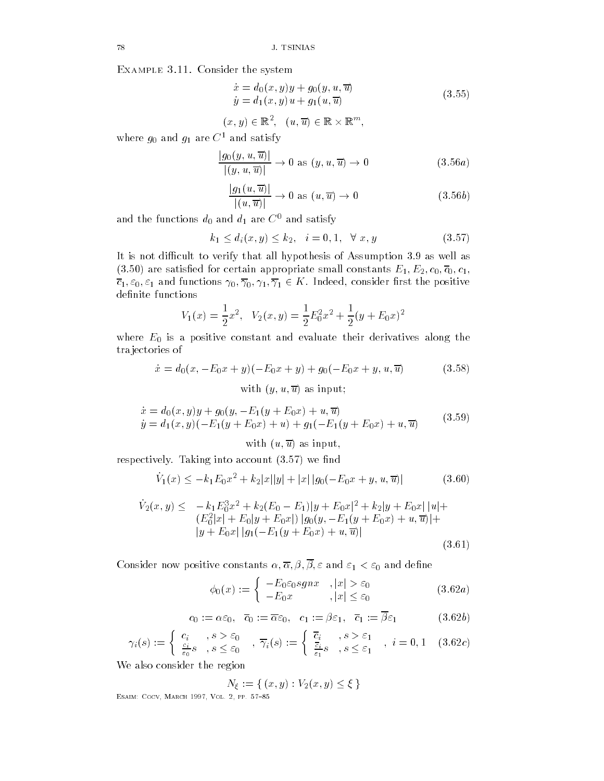Example -- Consider the system

$$
\dot{x} = d_0(x, y)y + g_0(y, u, \overline{u}) \n\dot{y} = d_1(x, y)u + g_1(u, \overline{u})
$$
\n(3.55)

$$
(x,y)\in\mathbb{R}^2,\ \ (u,\overline{u})\in\mathbb{R}\times\mathbb{R}^m,
$$

where  $g_0$  and  $g_1$  are  $C^1$  and satisfy

$$
\frac{|g_0(y, u, \overline{u})|}{|(y, u, \overline{u})|} \to 0 \text{ as } (y, u, \overline{u}) \to 0 \tag{3.56a}
$$

$$
\frac{|g_1(u,\overline{u})|}{|(u,\overline{u})|} \to 0 \text{ as } (u,\overline{u}) \to 0 \tag{3.56b}
$$

and the functions  $d_0$  and  $d_1$  are  $C^0$  and satisfy

$$
k_1 \le d_i(x, y) \le k_2, \quad i = 0, 1, \quad \forall \ x, y \tag{3.57}
$$

It is not difficult to verify that all hypothesis of Assumption 3.9 as well as are satisfactor and constants experience and constants experience and constants experience and constants experi  $\frac{1}{2}$  -  $\frac{1}{2}$  -  $\frac{1}{2}$  -  $\frac{1}{2}$  -  $\frac{1}{2}$  -  $\frac{1}{2}$  -  $\frac{1}{2}$  -  $\frac{1}{2}$  -  $\frac{1}{2}$ definite functions

$$
V_1(x) = \frac{1}{2}x^2, \quad V_2(x, y) = \frac{1}{2}E_0^2x^2 + \frac{1}{2}(y + E_0x)^2
$$

where  $E_0$  is a positive constant and evaluate their derivatives along the tra jectories of

$$
\dot{x} = d_0(x, -E_0x + y)(-E_0x + y) + g_0(-E_0x + y, u, \overline{u})
$$
 (3.58)  
with  $(y, u, \overline{u})$  as input;

$$
\begin{aligned}\n\dot{x} &= d_0(x, y)y + g_0(y, -E_1(y + E_0x) + u, \overline{u}) \\
\dot{y} &= d_1(x, y)(-E_1(y + E_0x) + u) + g_1(-E_1(y + E_0x) + u, \overline{u})\n\end{aligned} \tag{3.59}
$$

with u-mathematic contract with understanding the state of the contract of the contract of the contract of the

respectively. Taking into account  $(3.57)$  we find

$$
\dot{V}_1(x) \le -k_1 E_0 x^2 + k_2 |x||y| + |x| |g_0(-E_0 x + y, u, \overline{u})|
$$
\n(3.60)

$$
\dot{V}_2(x,y) \leq -k_1 E_0^3 x^2 + k_2 (E_0 - E_1)|y + E_0 x|^2 + k_2 |y + E_0 x| |u| +
$$
  
\n
$$
(E_0^2 |x| + E_0 |y + E_0 x|) |g_0(y, -E_1(y + E_0 x) + u, \overline{u})| +
$$
  
\n
$$
|y + E_0 x| |g_1(-E_1(y + E_0 x) + u, \overline{u})|
$$
\n(3.61)

- and denote constant the constant of the constant of the constant of the constant of the constant of the constant of the constant of the constant of the constant of the constant of the constant of the constant of the cons

$$
\phi_0(x) := \begin{cases}\n-E_0 \varepsilon_0 sgnx, \quad |x| > \varepsilon_0 \\
-E_0 x, \quad |x| \le \varepsilon_0\n\end{cases} \tag{3.62a}
$$

$$
c_0 := \alpha \varepsilon_0, \quad \overline{c}_0 := \overline{\alpha} \varepsilon_0, \quad c_1 := \beta \varepsilon_1, \quad \overline{c}_1 := \overline{\beta} \varepsilon_1 \tag{3.62b}
$$

$$
\gamma_i(s) := \begin{cases} c_i, & s > \varepsilon_0 \\ \frac{c_i}{\varepsilon_0} s, & s \le \varepsilon_0 \end{cases}, \overline{\gamma}_i(s) := \begin{cases} \overline{c}_i, & s > \varepsilon_1 \\ \frac{\overline{c}_i}{\varepsilon_1} s, & s \le \varepsilon_1 \end{cases}, \ i = 0, 1 \quad (3.62c)
$$

We also consider the region

$$
N_{\xi} := \{ (x, y) : V_2(x, y) \le \xi \}
$$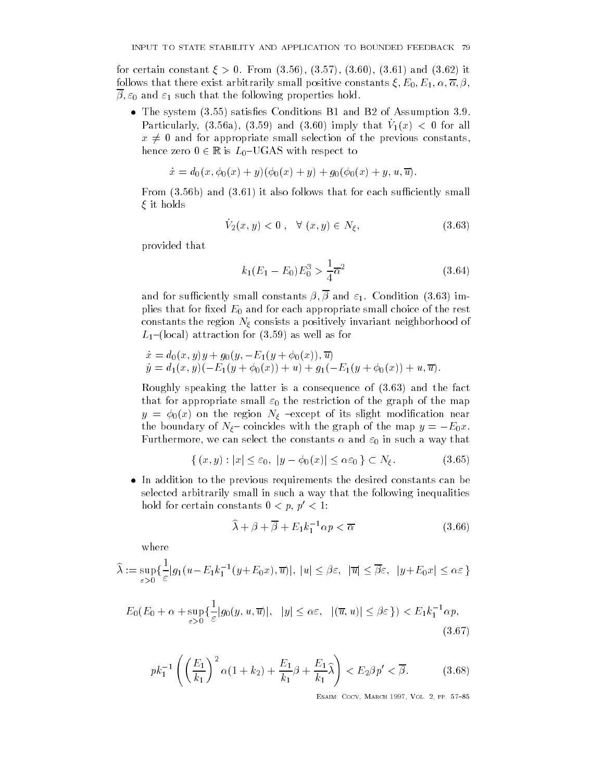for certain constant  $\xi > 0$ . From  $(3.56)$ ,  $(3.57)$ ,  $(3.60)$ ,  $(3.61)$  and  $(3.62)$  it follows that there exist arbitrarily small positive constants - E- E- 
- -  - and such that the following properties hold

• The system  $(3.55)$  satisfies Conditions B1 and B2 of Assumption 3.9.  $\Gamma$  are defined by  $\Gamma$  (and  $\Gamma$  and  $\Gamma$  and  $\Gamma$  and  $\Gamma$  and  $\Gamma$  are  $\Gamma$  and  $\Gamma$  are  $\Gamma$  and  $\Gamma$  are  $\Gamma$  and  $\Gamma$  are  $\Gamma$  and  $\Gamma$  are  $\Gamma$  and  $\Gamma$  are  $\Gamma$  and  $\Gamma$  are  $\Gamma$  and  $\Gamma$  are  $\Gamma$  and  $\Gamma$  are  $\$  $x \neq 0$  and for appropriate small selection of the previous constants, hence zero  $0 \in \mathbb{R}$  is  $L_0$ -UGAS with respect to

$$
\dot{x} = d_0(x, \phi_0(x) + y)(\phi_0(x) + y) + g_0(\phi_0(x) + y, u, \overline{u}).
$$

From  $(3.56b)$  and  $(3.61)$  it also follows that for each sufficiently small it holds

$$
\dot{V}_2(x,y) < 0 \;, \; \; \forall \; (x,y) \in N_\xi,\tag{3.63}
$$

provided that

$$
k_1(E_1 - E_0)E_0^3 > \frac{1}{4}\overline{\alpha}^2
$$
\n(3.64)

and for such small constants  $\mathbf{r}$  small constants  $\mathbf{r}$ plies that for fixed  $E_0$  and for each appropriate small choice of the rest constants the region N consists a positively invariant neighborhood of  $L_1$ -(local) attraction for (3.59) as well as for

$$
\dot{x} = d_0(x, y)y + g_0(y, -E_1(y + \phi_0(x)), \overline{u})
$$
  
\n
$$
\dot{y} = d_1(x, y)(-E_1(y + \phi_0(x)) + u) + g_1(-E_1(y + \phi_0(x)) + u, \overline{u}).
$$

Roughly speaking the latter is a consequence of  $(3.63)$  and the fact that for appropriate small  $\varepsilon_0$  the restriction of the graph of the map  $y = \phi_0(x)$  on the region  $N_\xi$  -except of its slight modification near the boundary of  $N_{\xi}$  coincides with the graph of the map  $y = -E_0 x$ . Furthermore, we can select the constants  $\alpha$  and  $\varepsilon_0$  in such a way that

$$
\{(x,y): |x| \le \varepsilon_0, |y - \phi_0(x)| \le \alpha \varepsilon_0 \} \subset N_{\xi}.
$$
\n(3.65)

 $\bullet$  In addition to the previous requirements the desired constants can be selected arbitrarily small in such a way that the following inequalities hold for certain constants  $0 < p, p' < 1$ :

$$
\widehat{\lambda} + \beta + \overline{\beta} + E_1 k_1^{-1} \alpha p < \overline{\alpha} \tag{3.66}
$$

where

$$
\widehat{\lambda} := \sup_{\varepsilon > 0} \{ \frac{1}{\varepsilon} |g_1(u - E_1 k_1^{-1}(y + E_0 x), \overline{u})|, |u| \le \beta \varepsilon, |\overline{u}| \le \overline{\beta} \varepsilon, |y + E_0 x| \le \alpha \varepsilon \}
$$

$$
E_0(E_0 + \alpha + \sup_{\varepsilon > 0} \{ \frac{1}{\varepsilon} |g_0(y, u, \overline{u})|, \ |y| \le \alpha \varepsilon, \ |(\overline{u}, u)| \le \beta \varepsilon \}) < E_1 k_1^{-1} \alpha p,\tag{3.67}
$$

$$
pk_1^{-1}\left(\left(\frac{E_1}{k_1}\right)^2 \alpha(1+k_2) + \frac{E_1}{k_1}\beta + \frac{E_1}{k_1}\widehat{\lambda}\right) < E_2\beta p' < \overline{\beta}.\tag{3.68}
$$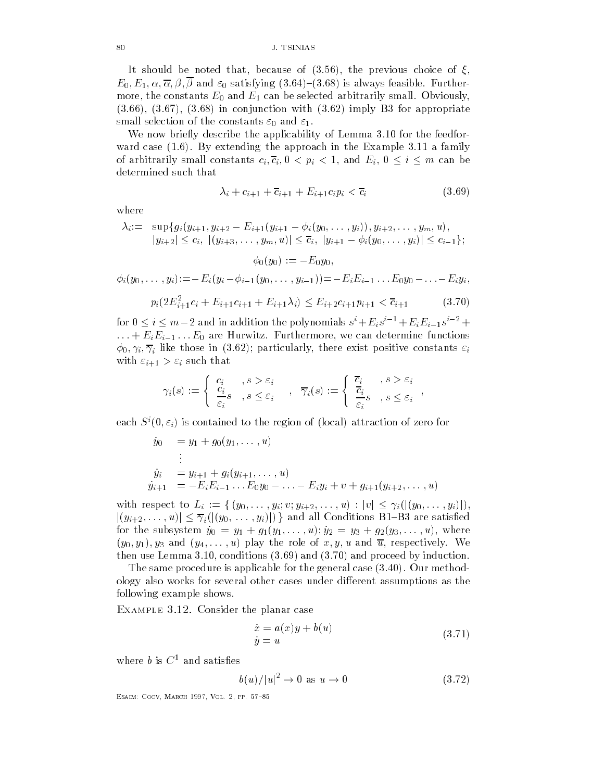It should be noted that, because of  $(3.56)$ , the previous choice of  $\xi$ , E- E- 
- - - and satisfying 

 is always feasible Furthermore, the constants  $E_0$  and  $E_1$  can be selected arbitrarily small. Obviously,  $(3.66)$ ,  $(3.67)$ ,  $(3.68)$  in conjunction with  $(3.62)$  imply B3 for appropriate small selection of the constants  $\varepsilon_0$  and  $\varepsilon_1$ .

We now briefly describe the applicability of Lemma 3.10 for the feedforward case  $(1.6)$ . By extending the approach in the Example 3.11 a family arbitrarily small constants constants constants constants constants constants constants  $\alpha$ determined such that

$$
\lambda_i + c_{i+1} + \overline{c}_{i+1} + E_{i+1}c_i p_i < \overline{c}_i \tag{3.69}
$$

where

$$
\lambda_i := \sup \{ g_i(y_{i+1}, y_{i+2} - E_{i+1}(y_{i+1} - \phi_i(y_0, \dots, y_i)), y_{i+2}, \dots, y_m, u), |y_{i+2}| \leq c_i, \ |(y_{i+3}, \dots, y_m, u)| \leq \overline{c}_i, \ |y_{i+1} - \phi_i(y_0, \dots, y_i)| \leq c_{i-1} \};
$$
  

$$
\phi_0(y_0) := -E_0 y_0,
$$
  

$$
\phi_i(y_0, \dots, y_i) := -E_i(y_i - \phi_{i-1}(y_0, \dots, y_{i-1})) = -E_i E_{i-1} \dots E_0 y_0 - \dots - E_i y_i,
$$

$$
p_i(2E_{i+1}^2c_i + E_{i+1}c_{i+1} + E_{i+1}\lambda_i) \le E_{i+2}c_{i+1}p_{i+1} < \overline{c}_{i+1} \tag{3.70}
$$

for  $0 \leq i \leq m - 2$  and in addition the polynomials  $s^* + E_i s^{*-} + E_i E_{i-1} s^{*-} +$  $\mathbb{E}\left[\begin{array}{ccc} \mathbb{E}\left[\mathbb{E}\left[\mathbb{E}\right]\mathbb{E}\left[\mathbb{E}\left[\mathbb{E}\left[\mathbb{E}\right]\right]\right] & \mathbb{E}\left[\mathbb{E}\left[\mathbb{E}\left[\mathbb{E}\left[\mathbb{E}\left[\mathbb{E}\left[\mathbb{E}\left[\mathbb{E}\left[\mathbb{E}\left[\mathbb{E}\left[\mathbb{E}\left[\mathbb{E}\left[\mathbb{E}\left[\mathbb{E}\left[\mathbb{E}\left[\mathbb{E}\left[\mathbb{E}\left[\mathbb{E}\left[\mathbb{E}\left[\mathbb{E}\left[\mathbb{E}\left[\mathbb{$  $\mathcal{N} = \{i\}$  is the constant of the exist positive constants in the constant of the constant of the constant of the constant of the constant of the constant of the constant of the constant of the constant of the constan with  $\varepsilon_{i+1} > \varepsilon_i$  such that

$$
\gamma_i(s) := \begin{cases} c_i, & s > \varepsilon_i \\ \frac{c_i}{\varepsilon_i} s, & s \le \varepsilon_i \end{cases}, \overline{\gamma}_i(s) := \begin{cases} \overline{c}_i, & s > \varepsilon_i \\ \overline{c}_i, & s \le \varepsilon_i \end{cases},
$$

each  $S^{\dagger}(0,\varepsilon_i)$  is contained to the region of flocal) attraction of zero for

$$
\dot{y}_0 = y_1 + g_0(y_1, \dots, u)
$$
\n
$$
\vdots
$$
\n
$$
\dot{y}_i = y_{i+1} + g_i(y_{i+1}, \dots, u)
$$
\n
$$
\dot{y}_{i+1} = -E_i E_{i-1} \dots E_0 y_0 - \dots - E_i y_i + v + g_{i+1}(y_{i+2}, \dots, u)
$$

with the Lines to Line to Line and the second to Line to Line and the control of the control of the control of jyi- -uj ijy- -yij <sup>g</sup> and all Conditions BB are satised for the substitution  $\mathcal{G}$  is  $\mathcal{G}$  in  $\mathcal{G}$  in  $\mathcal{G}$  is the substitution of  $\mathcal{G}$  is the substitution of  $\mathcal{G}$  is the substitution of  $\mathcal{G}$  is the substitution of  $\mathcal{G}$  is the substitution of  $\mathcal$ y- y- y and y- -u play the role of x- y- u and u respectively We then use Lemma 3.10, conditions  $(3.69)$  and  $(3.70)$  and proceed by induction.

The same procedure is applicable for the general case  $(3.40)$ . Our methodology also works for several other cases under different assumptions as the following example shows

Example - Consider the planar case

$$
\begin{aligned}\n\dot{x} &= a(x)y + b(u) \\
\dot{y} &= u\n\end{aligned} \tag{3.71}
$$

-

where  $b$  is  $C^1$  and satisfies

$$
b(u)/|u|^2 \to 0 \text{ as } u \to 0 \tag{3.72}
$$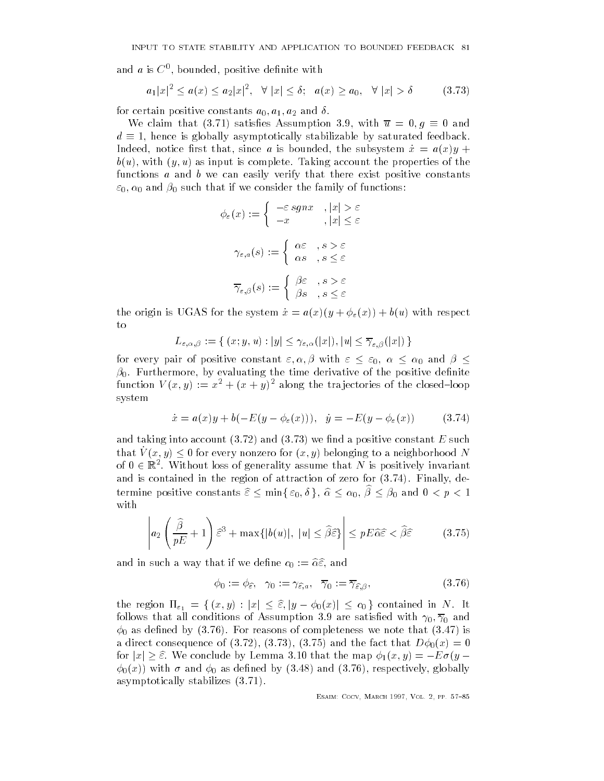and a is  $C^0$ , bounded, positive definite with  $\mathbf{b}$  bounded by the state with the state with  $\mathbf{b}$  and  $\mathbf{b}$  and  $\mathbf{b}$  and  $\mathbf{b}$  and  $\mathbf{b}$  and  $\mathbf{b}$  and  $\mathbf{b}$  and  $\mathbf{b}$  and  $\mathbf{b}$  and  $\mathbf{b}$  and  $\mathbf{b}$  and  $\mathbf{b}$  and  $\mathbf{b}$  and  $\$ 

$$
a_1|x|^2 \le a(x) \le a_2|x|^2, \quad \forall \ |x| \le \delta; \quad a(x) \ge a_0, \quad \forall \ |x| > \delta \tag{3.73}
$$

for certain positive constants a- a- a and 

where the claim that is a satisfactor of the claim that is satisfactor  $\mathbb{R}^n$  . The claim that is a satisfactor of the claim that is a satisfactor of the claim that is a satisfactor of the claim that is a satisfactor  $d \equiv 1$ , hence is globally asymptotically stabilizable by saturated feedback. Indeed, notice first that, since a is bounded, the subsystem  $\dot{x} = a(x)y +$  $\mathbf u$  as input is complete Taking account the properties of the properties of the properties of the properties of the properties of the properties of the properties of the properties of the properties of the properties o functions  $a$  and  $b$  we can easily verify that there exist positive constants - up that if we consider the functions of functions of functions  $\mathcal{S}_t$ 

$$
\phi_{\varepsilon}(x) := \begin{cases}\n-\varepsilon sgnx & , |x| > \varepsilon \\
-x & , |x| \le \varepsilon\n\end{cases}
$$
\n
$$
\gamma_{\varepsilon,a}(s) := \begin{cases}\n\alpha \varepsilon & , s > \varepsilon \\
\alpha s & , s \le \varepsilon\n\end{cases}
$$
\n
$$
\overline{\gamma}_{\varepsilon,\beta}(s) := \begin{cases}\n\beta \varepsilon & , s > \varepsilon \\
\beta s & , s \le \varepsilon\n\end{cases}
$$

the origin is UGAS for the system  $\dot{x} = a(x)(y + \phi_{\varepsilon}(x)) + b(u)$  with respect to

$$
L_{\varepsilon,\alpha,\beta}:=\{\,(x;y,u):|y|\leq \gamma_{\varepsilon,\alpha}(|x|),|u|\leq \overline{\gamma}_{\varepsilon,\beta}(|x|)\,\}
$$

for every pair of positive constant - 
- with  and  $\beta_0$ . Furthermore, by evaluating the time derivative of the positive definite function  $V(x, y) := x + (x + y)$  along the trajectories of the closed-loop system

$$
\dot{x} = a(x)y + b(-E(y - \phi_{\varepsilon}(x))), \quad \dot{y} = -E(y - \phi_{\varepsilon}(x))
$$
(3.74)

and taking into account  $(3.72)$  and  $(3.73)$  we find a positive constant E such  $\lim_{u \to \infty} v + \lim_{u \to \infty} v$  for every nonzero for  $\{x, y\}$  belonging to a neighborhood TV of  $0 \in \mathbb{R}^+$ . Without loss of generality assume that *I*V is positively invariant and is contained in the region of attraction of zero for  $(3.74)$ . Finally, determine positive constants  $\varepsilon \geq \min_{\varepsilon \in [0, \delta]} \varepsilon_0$ ,  $\alpha \geq \alpha_0$ ,  $\rho \geq \rho_0$  and  $\sigma \leq \rho \leq 1$ with

$$
\left| a_2 \left( \frac{\widehat{\beta}}{pE} + 1 \right) \widehat{\varepsilon}^3 + \max\{|b(u)|, |u| \le \widehat{\beta}\widehat{\varepsilon}\} \right| \le pE\widehat{\alpha}\widehat{\varepsilon} < \widehat{\beta}\widehat{\varepsilon}
$$
 (3.75)

and in such a way that if we define  $c_0 := \hat{\alpha} \hat{\varepsilon}$ , and

$$
\phi_0 := \phi_{\widehat{\varepsilon}}, \quad \gamma_0 := \gamma_{\widehat{\varepsilon}, a}, \quad \overline{\gamma}_0 := \overline{\gamma}_{\widehat{\varepsilon}, \beta}, \tag{3.76}
$$

the region is the region of  $\mathcal{F}(\mathcal{A})$  and  $\mathcal{F}(\mathcal{A})$  is the set of  $\mathcal{F}(\mathcal{A})$  and  $\mathcal{F}(\mathcal{A})$  and  $\mathcal{F}(\mathcal{A})$  and  $\mathcal{F}(\mathcal{A})$  and  $\mathcal{F}(\mathcal{A})$  and  $\mathcal{F}(\mathcal{A})$  and  $\mathcal{F}(\mathcal{A})$  and  $\mathcal{F}(\mathcal{A$ follows that all conditions of  $\mathbf{I}$  $\phi_0$  as defined by (3.76). For reasons of completeness we note that (3.47) is a direct consequence of (3.72), (3.73), (3.75) and the fact that  $D\phi_0(x)=0$ for july  $\equiv$  with the conclude by Lemma in the map the map  $\mathbb{P} \setminus \{y\}$  . Hence  $\mathbb{P} \setminus \{y\}$  $\phi_0(x)$ ) with  $\sigma$  and  $\phi_0$  as defined by (3.48) and (3.76), respectively, globally asymptotically stabilizes  $(3.71)$ .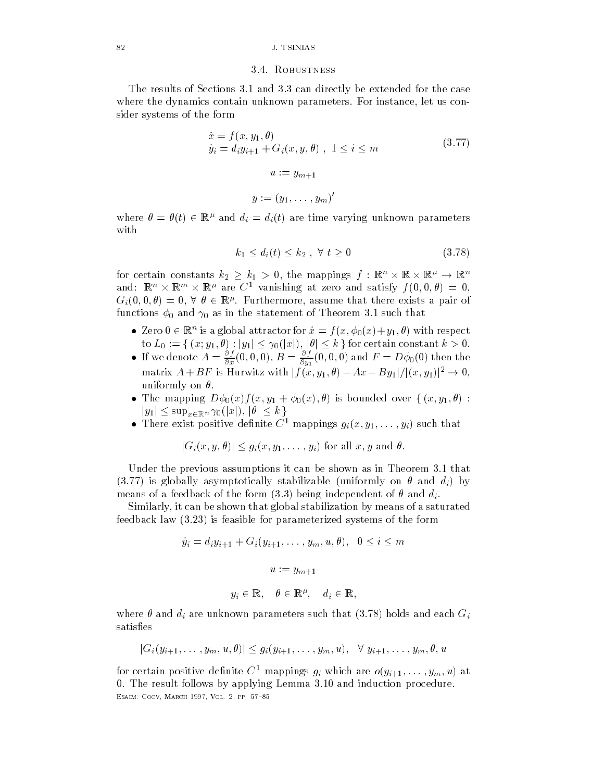#### 3.4. ROBUSTNESS

The results of Sections 3.1 and 3.3 can directly be extended for the case where the dynamics contain unknown parameters. For instance, let us consider systems of the form

$$
\begin{aligned}\n\dot{x} &= f(x, y_1, \theta) \\
\dot{y}_i &= d_i y_{i+1} + G_i(x, y, \theta) , 1 \le i \le m \\
u &:= y_{m+1} \\
y &:= (y_1, \dots, y_m)'\n\end{aligned} \tag{3.77}
$$

where  $\sigma = \sigma(\iota)$   $\in$  is  $\tau$  and  $a_i = a_i(\iota)$  are time varying unknown parameters with

$$
k_1 \le d_i(t) \le k_2 \quad \forall \ t \ge 0 \tag{3.78}
$$

for certain constants  $\kappa_2~\geq~\kappa_1~>~0,$  the mappings  $\jmath~:~\mathbb{R}^+\times~\mathbb{R}~\times~\mathbb{R}^+\rightarrow~\mathbb{R}^+$ and:  $\mathbb{R}^n \times \mathbb{R}^m \times \mathbb{R}^m$  are  $\mathbb{C}^+$  vanishing at zero and satisfy  $f(0,0,\theta) \equiv 0,$  $G_i(0,0,\theta) = 0, \vee \theta \in \mathbb{R}^r$ . Furthermore, assume that there exists a pair of functions  $\phi_0$  and  $\gamma_0$  as in the statement of Theorem 3.1 such that

- $\bullet$  Zero  $0 \in \mathbb{R}^n$  is a global attractor for  $x = f(x, \varphi_0(x)+y_1, \theta)$  with respect to L <sup>f</sup> x y- jyj jxj- jj kg for certain constant k
- If we denote  $A=\frac{1}{\partial x}(0,0,0), B=\frac{1}{\partial y_1}(0,0,0)$  and  $F=D\phi_0(0)$  then the matrix  $A + D$ F is Hurwitz with  $|f(x, y_1, v) - Ax - Dy_1|/|(x, y_1)| \rightarrow 0$ , uniformly on  $\theta.$
- The map of the mapping over the mapping of the mapping of the mapping over the mapping of the mapping of the m  $|y_1| \leq \sup_{x \in \mathbb{R}^n} \gamma_0(|x|), |\theta| \leq k$
- There exist positive definite  $C^{\perp}$  mappings  $g_i(x, y_1, \ldots, y_i)$  such that

$$
|G_i(x, y, \theta)| \le g_i(x, y_1, \dots, y_i)
$$
 for all  $x, y$  and  $\theta$ .

Under the previous assumptions it can be shown as in Theorem 3.1 that (3.77) is globally asymptotically stabilizable (uniformly on  $\theta$  and  $d_i$ ) by means of a feedback of the form (3.3) being independent of  $\theta$  and  $d_i.$ 

Similarly it can be shown that global stabilization by means of a saturated feedback law  $(3.23)$  is feasible for parameterized systems of the form

$$
\dot{y}_i = d_i y_{i+1} + G_i(y_{i+1}, \dots, y_m, u, \theta), \quad 0 \le i \le m
$$
\n
$$
u := y_{m+1}
$$
\n
$$
y_i \in \mathbb{R}, \quad \theta \in \mathbb{R}^{\mu}, \quad d_i \in \mathbb{R},
$$

where  $\mathbf x$  are unknown parameters such that  $\mathbf x$  are unknown parameters such that  $\mathbf x$  and each  $\mathbf y$ satisfies

$$
|G_i(y_{i+1},\ldots,y_m,u,\theta)|\leq g_i(y_{i+1},\ldots,y_m,u),\ \forall\ y_{i+1},\ldots,y_m,\theta,u
$$

for certain positive dennite  $C$  -mappings  $g_i$  which are  $o(y_{i+1},\ldots,y_m,u)$  at 0. The result follows by applying Lemma 3.10 and induction procedure. ———————————————————————————————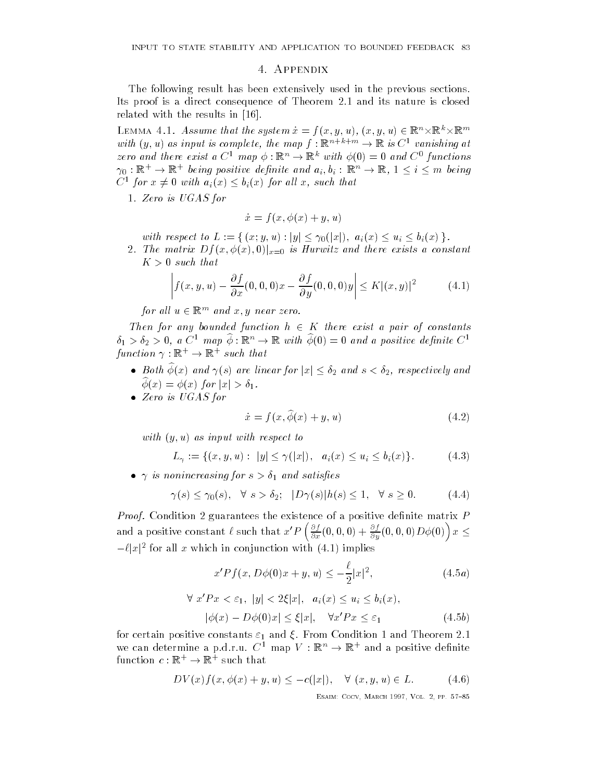#### 4. APPENDIX

The following result has been extensively used in the previous sections Its proof is a direct consequence of Theorem 2.1 and its nature is closed related with the results in

LEMMA 4.1. Assume that the system  $x = f(x, y, u), (x, y, u) \in \mathbb{R}^n \times \mathbb{R}^n$ with  $y, u$  as input is complete, the map  $f : \mathbb{R}^{n} \to \mathbb{R}$  is  $C^*$  vanishing at zero ana there exist a  $C^+$  map  $\varphi : \mathbb{R}^n \to \mathbb{R}^n$  with  $\varphi(0) = 0$  ana  $C^+$  functions  $\gamma_0: \mathbb{R}^+ \to \mathbb{R}^+$  being positive definite and  $a_i, b_i: \mathbb{R}^+ \to \mathbb{R}, \ 1 \leq i \leq m$  being  $C$  for  $x \neq 0$  with  $a_i(x) \leq b_i(x)$  for all x, such that

1. Zero is UGAS for

$$
\dot{x} = f(x, \phi(x) + y, u)
$$

 $\mathbf{u} = \mathbf{u} + \mathbf{v}$  , with  $\mathbf{v} = \mathbf{v} - \mathbf{v}$ 

 $J \left( \frac{1}{2} \right)$  is  $\frac{1}{2}$  is  $\frac{1}{2}$  is  $\frac{1}{2}$  if  $\frac{1}{2}$  if  $\frac{1}{2}$  if  $\frac{1}{2}$  if  $\frac{1}{2}$  if  $\frac{1}{2}$  if  $\frac{1}{2}$  if  $\frac{1}{2}$  if  $\frac{1}{2}$  if  $\frac{1}{2}$  if  $\frac{1}{2}$  if  $\frac{1}{2}$  if  $\frac{1}{2}$  if  $\frac{1}{$  $K > 0$  such that

$$
\left| f(x, y, u) - \frac{\partial f}{\partial x}(0, 0, 0)x - \frac{\partial f}{\partial y}(0, 0, 0)y \right| \le K |(x, y)|^2 \tag{4.1}
$$

for all  $u \in \mathbb{R}^m$  and x, y near zero.

Then for any bounded function  $h \in K$  there exist a pair of constants  $\varphi_1 > \varphi_2 > 0$ , a  $C^+$  map  $\varphi : \mathbb{R}^n \to \mathbb{R}$  with  $\varphi(0) = 0$  and a positive definite  $C^+$ function  $\gamma : \mathbb{R}^+ \to \mathbb{R}^+$  such that

- Both  $\widehat{\phi}(x)$  and  $\gamma(s)$  are linear for  $|x| \leq \delta_2$  and  $s < \delta_2$ , respectively and  $\phi(x) = \phi(x)$  for  $|x| > \delta_1$ .
- Zero is UGAS for

$$
\dot{x} = f(x, \tilde{\phi}(x) + y, u) \tag{4.2}
$$

with y-contract to the contract to the contract to the contract to the contract of the contract of the contract of the contract of the contract of the contract of the contract of the contract of the contract of the contrac

$$
L_{\gamma} := \{(x, y, u) : |y| \le \gamma(|x|), \ a_i(x) \le u_i \le b_i(x)\}.
$$
 (4.3)

is nonincreasing for s and satis-es

$$
\gamma(s) \le \gamma_0(s), \quad \forall \ s > \delta_2; \quad |D\gamma(s)|h(s) \le 1, \quad \forall \ s \ge 0. \tag{4.4}
$$

*Proof.* Condition 2 guarantees the existence of a positive definite matrix  $P$ and a positive constant  $\ell$  such that  $x'P\left(\frac{\partial f}{\partial x}(0, \cdot)\right)$  $\frac{\partial f}{\partial x}(0,0,0)+\frac{\partial f}{\partial y}(0,0,0)D\phi(0)\Big)\,x \leq$  $-\ell |x|$  for all x which in conjunction with  $(4.1)$  implies

$$
x'Pf(x, D\phi(0)x + y, u) \le -\frac{\ell}{2}|x|^2,
$$
\n(4.5*a*)

$$
\forall x'Px < \varepsilon_1, \ |y| < 2\xi|x|, \ a_i(x) \le u_i \le b_i(x),
$$
\n
$$
|\phi(x) - D\phi(0)x| \le \xi|x|, \quad \forall x'Px \le \varepsilon_1 \tag{4.5b}
$$

for certain positive constants  $\varepsilon_1$  and  $\xi$ . From Condition 1 and Theorem 2.1 we can determine a p.d.r.u. C  $\cdot$  map  $V : \mathbb{R}^n \rightarrow \mathbb{R}^n$  and a positive definite  $f$ unction  $c : \mathbb{R}^+ \to \mathbb{R}^+$  such that

$$
DV(x)f(x, \phi(x) + y, u) \le -c(|x|), \quad \forall (x, y, u) \in L.
$$
 (4.6)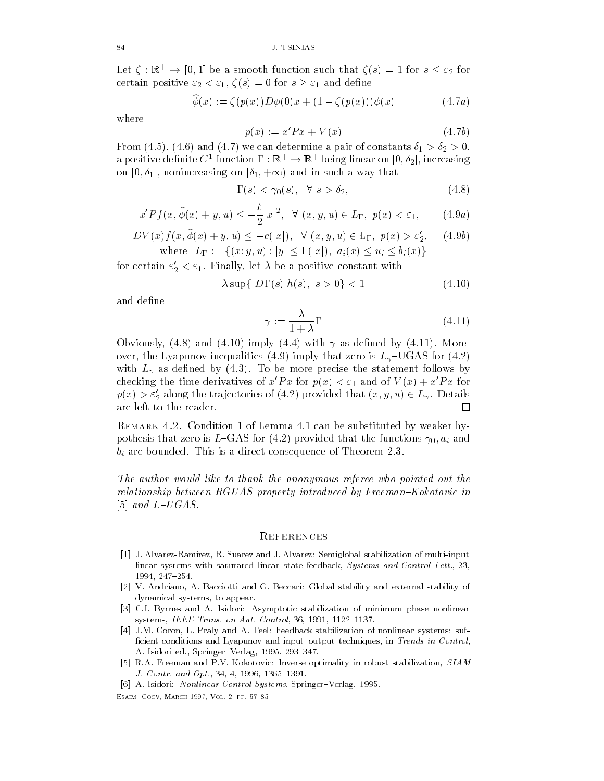Let  $\zeta : \mathbb{R}^+ \to [0,1]$  be a smooth function such that  $\zeta(s) = 1$  for  $s \leq \varepsilon_2$  for certain positive  $\varepsilon_2 < \varepsilon_1$ ,  $\zeta(s) = 0$  for  $s \geq \varepsilon_1$  and define

$$
\widehat{\phi}(x) := \zeta(p(x))D\phi(0)x + (1 - \zeta(p(x)))\phi(x) \tag{4.7a}
$$

where

$$
p(x) := x'Px + V(x) \tag{4.7b}
$$

From (4.5), (4.6) and (4.7) we can determine a pair of constants  $\delta_1 > \delta_2 > 0$ , a positive definite  $C$  -function  $\Gamma : \mathbb{R}^+ \to \mathbb{R}^+$  being finear on  $[0, \sigma_2]$ , increasing  $\begin{array}{ccc} \text{1} & \text{1} & \text{1} & \text{1} & \text{1} & \text{1} & \text{1} & \text{1} & \text{1} & \text{1} & \text{1} & \text{1} & \text{1} & \text{1} & \text{1} & \text{1} & \text{1} & \text{1} & \text{1} & \text{1} & \text{1} & \text{1} & \text{1} & \text{1} & \text{1} & \text{1} & \text{1} & \text{1} & \text{1} & \text{1} & \text{1} & \text{1} & \text{1} & \text{1} & \text{1} & \text{$ 

$$
\Gamma(s) < \gamma_0(s), \quad \forall \ s > \delta_2,\tag{4.8}
$$

$$
x'Pf(x,\widehat{\phi}(x)+y,u) \le -\frac{\ell}{2}|x|^2, \quad \forall \ (x,y,u) \in L_{\Gamma}, \ p(x) < \varepsilon_1,\tag{4.9a}
$$

$$
DV(x)f(x, \widehat{\phi}(x) + y, u) \le -c(|x|), \quad \forall (x, y, u) \in \mathcal{L}_{\Gamma}, p(x) > \varepsilon'_2,
$$
 (4.9b)  
where  $L_{\Gamma} := \{(x, y, u) : |y| \le \Gamma(|x|), a_i(x) \le u_i \le b_i(x)\}$ 

for certain  $\varepsilon_2 < \varepsilon_1.$  Finally, let  $\lambda$  be a positive constant with

$$
\lambda \sup\{|D\Gamma(s)|h(s),\ s>0\} < 1\tag{4.10}
$$

and define

$$
\gamma := \frac{\lambda}{1 + \lambda} \Gamma \tag{4.11}
$$

Obviously, (4.8) and (4.10) imply (4.4) with  $\gamma$  as defined by (4.11). Moreover the Lyapunov includes the Lyapunov intervals in the Lyapunov includes including the Lyapunov is Lyapunov i with L as denotes the statement follows by  $\mathbf{L}$ checking the time derivatives of  $x'Px$  for  $p(x) < \varepsilon_1$  and of  $V(x) + x'Px$  for  $p(x) > \varepsilon_2$  along the trajectories of (4.2) provided that  $(x,y,u) \in L_{\gamma}$ . Details are left to the reader П

REMARK 4.2. Condition 1 of Lemma 4.1 can be substituted by weaker hypothesis that zero is LGAS for provided that the functions - ai and  $\mathbf b$  are bounded This is a direct consequence of This is a direct consequence of Theorem  $\mathbf b$ 

The author would like to thank the anonymous referee who pointed out the relationship between  $RGUAS$  property introduced by Freeman–Kokotovic in and Lucius and Lucius and Lucius and Lucius and Lucius and Lucius and Lucius and Lucius and Lucius and Lucius

# **REFERENCES**

- J- AlvarezRamirez R- Suarez and J- Alvarez Semiglobal stabilization of multiinput linear systems with saturated linear state feedback Systems and Control Lett- 1994, 247-254.
- , and the G-ciotti and G-ciotti and G-ciotti and G-ciotti and G-ciotti and G-ciotti and G-ciotti and G-ciotti dynamical systems, to appear.
- C-I- Byrnes and A- Isidori Asymptotic stabilization of minimum phase nonlinear systems IEEE Trans-and-on-trans-and-on-trans-and-on-trans-and-on-trans-and-on-trans-and-on-trans-and-on-trans-
- J-M- Coron L- Praly and A- Teel Feedback stabilization of nonlinear systems suf ficient conditions and Lyapunov and input-output techniques, in Trends in Control,  $\mathcal{A}$  is a springer vertex for a springer vertex  $\mathcal{A}$  . In the springer vertex  $\mathcal{A}$
- r process and present and and processes of the processes are processed, and a successive and management of the  $\blacksquare$  . The contract of the contract of the contract of the contract of the contract of the contract of the contract of the contract of the contract of the contract of the contract of the contract of the contract of the

 A- Isidori Nonlinear Control Systems SpringerVerlag -————————————————————————————————